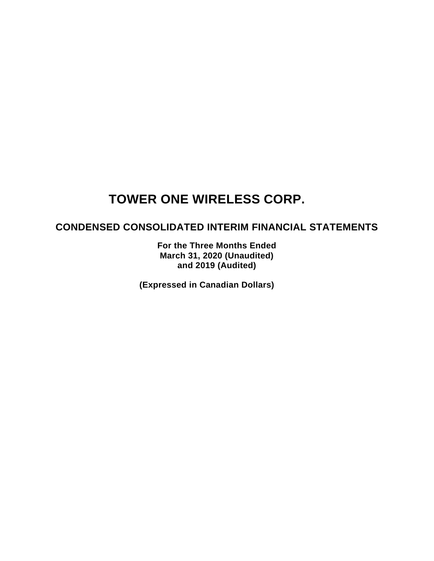## **CONDENSED CONSOLIDATED INTERIM FINANCIAL STATEMENTS**

**For the Three Months Ended March 31, 2020 (Unaudited) and 2019 (Audited)** 

**(Expressed in Canadian Dollars)**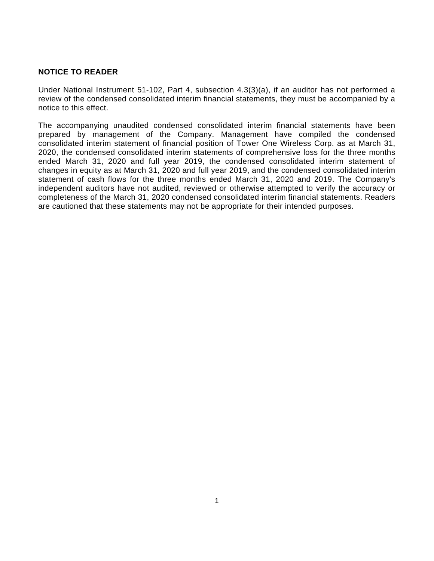## **NOTICE TO READER**

Under National Instrument 51-102, Part 4, subsection 4.3(3)(a), if an auditor has not performed a review of the condensed consolidated interim financial statements, they must be accompanied by a notice to this effect.

The accompanying unaudited condensed consolidated interim financial statements have been prepared by management of the Company. Management have compiled the condensed consolidated interim statement of financial position of Tower One Wireless Corp. as at March 31, 2020, the condensed consolidated interim statements of comprehensive loss for the three months ended March 31, 2020 and full year 2019, the condensed consolidated interim statement of changes in equity as at March 31, 2020 and full year 2019, and the condensed consolidated interim statement of cash flows for the three months ended March 31, 2020 and 2019. The Company's independent auditors have not audited, reviewed or otherwise attempted to verify the accuracy or completeness of the March 31, 2020 condensed consolidated interim financial statements. Readers are cautioned that these statements may not be appropriate for their intended purposes.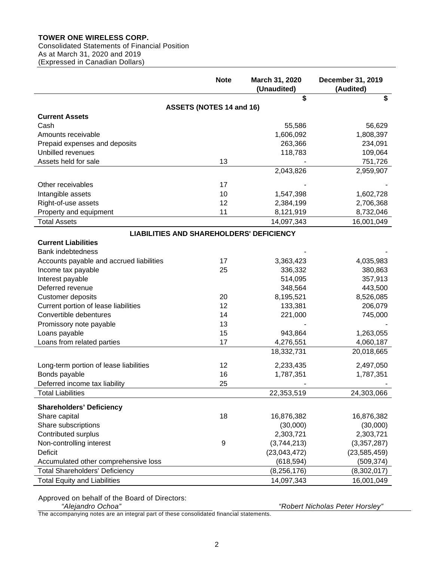#### Consolidated Statements of Financial Position As at March 31, 2020 and 2019

(Expressed in Canadian Dollars)

|                                                 | <b>Note</b>              | March 31, 2020<br>(Unaudited) | December 31, 2019<br>(Audited) |
|-------------------------------------------------|--------------------------|-------------------------------|--------------------------------|
|                                                 |                          | \$                            | \$                             |
|                                                 | ASSETS (NOTES 14 and 16) |                               |                                |
| <b>Current Assets</b>                           |                          |                               |                                |
| Cash                                            |                          | 55,586                        | 56,629                         |
| Amounts receivable                              |                          | 1,606,092                     | 1,808,397                      |
| Prepaid expenses and deposits                   |                          | 263,366                       | 234,091                        |
| Unbilled revenues                               |                          | 118,783                       | 109,064                        |
| Assets held for sale                            | 13                       |                               | 751,726                        |
|                                                 |                          | 2,043,826                     | 2,959,907                      |
| Other receivables                               | 17                       |                               |                                |
| Intangible assets                               | 10                       | 1,547,398                     | 1,602,728                      |
| Right-of-use assets                             | 12                       | 2,384,199                     | 2,706,368                      |
| Property and equipment                          | 11                       | 8,121,919                     | 8,732,046                      |
| <b>Total Assets</b>                             |                          | 14,097,343                    | 16,001,049                     |
| <b>LIABILITIES AND SHAREHOLDERS' DEFICIENCY</b> |                          |                               |                                |
| <b>Current Liabilities</b>                      |                          |                               |                                |
| <b>Bank indebtedness</b>                        |                          |                               |                                |
| Accounts payable and accrued liabilities        | 17                       | 3,363,423                     | 4,035,983                      |
| Income tax payable                              | 25                       | 336,332                       | 380,863                        |
| Interest payable                                |                          | 514,095                       | 357,913                        |
| Deferred revenue                                |                          | 348,564                       | 443,500                        |
| <b>Customer deposits</b>                        | 20                       | 8,195,521                     | 8,526,085                      |
| Current portion of lease liabilities            | 12                       | 133,381                       | 206,079                        |
| Convertible debentures                          | 14                       | 221,000                       | 745,000                        |
| Promissory note payable                         | 13                       |                               |                                |
| Loans payable                                   | 15                       | 943,864                       | 1,263,055                      |
| Loans from related parties                      | 17                       | 4,276,551                     | 4,060,187                      |
|                                                 |                          | 18,332,731                    | 20,018,665                     |
| Long-term portion of lease liabilities          | 12                       | 2,233,435                     | 2,497,050                      |
| Bonds payable                                   | 16                       | 1,787,351                     | 1,787,351                      |
| Deferred income tax liability                   | 25                       |                               |                                |
| Total Liabilities                               |                          | 22,353,519                    | 24,303,066                     |
| <b>Shareholders' Deficiency</b>                 |                          |                               |                                |
| Share capital                                   | 18                       | 16,876,382                    | 16,876,382                     |
| Share subscriptions                             |                          | (30,000)                      | (30,000)                       |
| Contributed surplus                             |                          | 2,303,721                     | 2,303,721                      |
| Non-controlling interest                        | 9                        | (3,744,213)                   | (3,357,287)                    |
| Deficit                                         |                          | (23,043,472)                  | (23, 585, 459)                 |
| Accumulated other comprehensive loss            |                          | (618, 594)                    | (509, 374)                     |
| <b>Total Shareholders' Deficiency</b>           |                          | (8, 256, 176)                 | (8,302,017)                    |
| <b>Total Equity and Liabilities</b>             |                          | 14,097,343                    | 16,001,049                     |
|                                                 |                          |                               |                                |

Approved on behalf of the Board of Directors:

*"Alejandro Ochoa" "Robert Nicholas Peter Horsley"*

The accompanying notes are an integral part of these consolidated financial statements.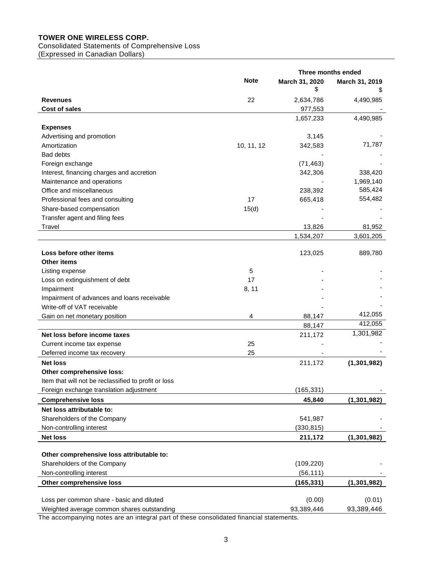Consolidated Statements of Comprehensive Loss

(Expressed in Canadian Dollars)

|                                                      | Three months ended |                      |                |  |  |
|------------------------------------------------------|--------------------|----------------------|----------------|--|--|
|                                                      | <b>Note</b>        | March 31, 2020<br>\$ | March 31, 2019 |  |  |
| <b>Revenues</b>                                      | 22                 | 2,634,786            | 4,490,985      |  |  |
| <b>Cost of sales</b>                                 |                    | 977,553              |                |  |  |
|                                                      |                    | 1,657,233            | 4,490,985      |  |  |
| <b>Expenses</b>                                      |                    |                      |                |  |  |
| Advertising and promotion                            |                    | 3,145                |                |  |  |
| Amortization                                         | 10, 11, 12         | 342,583              | 71,787         |  |  |
| <b>Bad debts</b>                                     |                    |                      |                |  |  |
| Foreign exchange                                     |                    | (71, 463)            |                |  |  |
| Interest, financing charges and accretion            |                    | 342,306              | 338,420        |  |  |
| Maintenance and operations                           |                    |                      | 1,969,140      |  |  |
| Office and miscellaneous                             |                    | 238,392              | 585,424        |  |  |
| Professional fees and consulting                     | 17                 | 665,418              | 554,482        |  |  |
| Share-based compensation                             | 15(d)              |                      |                |  |  |
| Transfer agent and filing fees                       |                    |                      |                |  |  |
| Travel                                               |                    | 13,826               | 81,952         |  |  |
|                                                      |                    | 1,534,207            | 3,601,205      |  |  |
|                                                      |                    |                      |                |  |  |
| Loss before other items                              |                    | 123,025              | 889,780        |  |  |
| <b>Other items</b>                                   |                    |                      |                |  |  |
| Listing expense                                      | 5                  |                      |                |  |  |
| Loss on extinguishment of debt                       | 17                 |                      |                |  |  |
| Impairment                                           | 8, 11              |                      |                |  |  |
| Impairment of advances and loans receivable          |                    |                      |                |  |  |
| Write-off of VAT receivable                          | 4                  |                      | 412,055        |  |  |
| Gain on net monetary position                        |                    | 88,147<br>88,147     | 412,055        |  |  |
| Net loss before income taxes                         |                    | 211,172              | 1,301,982      |  |  |
| Current income tax expense                           | 25                 |                      |                |  |  |
| Deferred income tax recovery                         | 25                 |                      |                |  |  |
| <b>Net loss</b>                                      |                    |                      | (1, 301, 982)  |  |  |
| Other comprehensive loss:                            |                    | 211,172              |                |  |  |
| Item that will not be reclassified to profit or loss |                    |                      |                |  |  |
| Foreign exchange translation adjustment              |                    | (165, 331)           |                |  |  |
| <b>Comprehensive loss</b>                            |                    | 45,840               | (1, 301, 982)  |  |  |
| Net loss attributable to:                            |                    |                      |                |  |  |
| Shareholders of the Company                          |                    | 541,987              |                |  |  |
| Non-controlling interest                             |                    | (330, 815)           |                |  |  |
| <b>Net loss</b>                                      |                    | 211,172              | (1, 301, 982)  |  |  |
|                                                      |                    |                      |                |  |  |
| Other comprehensive loss attributable to:            |                    |                      |                |  |  |
| Shareholders of the Company                          |                    | (109, 220)           |                |  |  |
| Non-controlling interest                             |                    | (56, 111)            |                |  |  |
| Other comprehensive loss                             |                    | (165, 331)           | (1, 301, 982)  |  |  |
|                                                      |                    |                      |                |  |  |
| Loss per common share - basic and diluted            |                    | (0.00)               | (0.01)         |  |  |
| Weighted average common shares outstanding           |                    | 93,389,446           | 93,389,446     |  |  |

The accompanying notes are an integral part of these consolidated financial statements.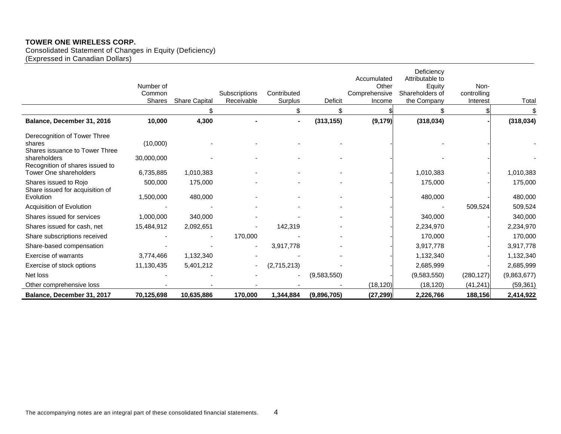Consolidated Statement of Changes in Equity (Deficiency) (Expressed in Canadian Dollars)

|                                                                                   | Number of<br>Common<br>Shares | <b>Share Capital</b> | Subscriptions<br>Receivable | Contributed<br>Surplus | Deficit          | Accumulated<br>Other<br>Comprehensive<br>Income | Deficiency<br>Attributable to<br>Equity<br>Shareholders of<br>the Company | Non-<br>controlling<br>Interest | Total            |
|-----------------------------------------------------------------------------------|-------------------------------|----------------------|-----------------------------|------------------------|------------------|-------------------------------------------------|---------------------------------------------------------------------------|---------------------------------|------------------|
| Balance, December 31, 2016                                                        | 10,000                        | \$<br>4,300          |                             | \$<br>٠.               | \$<br>(313, 155) | (9, 179)                                        | (318, 034)                                                                |                                 | \$<br>(318, 034) |
| Derecognition of Tower Three                                                      |                               |                      |                             |                        |                  |                                                 |                                                                           |                                 |                  |
| shares                                                                            | (10,000)                      |                      |                             |                        |                  |                                                 |                                                                           |                                 |                  |
| Shares issuance to Tower Three<br>shareholders<br>Recognition of shares issued to | 30,000,000                    |                      |                             |                        |                  |                                                 |                                                                           |                                 |                  |
| <b>Tower One shareholders</b>                                                     | 6,735,885                     | 1,010,383            |                             |                        |                  |                                                 | 1,010,383                                                                 |                                 | 1,010,383        |
| Shares issued to Rojo<br>Share issued for acquisition of                          | 500,000                       | 175,000              |                             |                        |                  |                                                 | 175,000                                                                   |                                 | 175,000          |
| Evolution                                                                         | 1,500,000                     | 480,000              |                             |                        |                  |                                                 | 480,000                                                                   |                                 | 480,000          |
| Acquisition of Evolution                                                          |                               |                      |                             |                        |                  |                                                 |                                                                           | 509,524                         | 509,524          |
| Shares issued for services                                                        | 1,000,000                     | 340,000              |                             |                        |                  |                                                 | 340,000                                                                   |                                 | 340,000          |
| Shares issued for cash, net                                                       | 15,484,912                    | 2,092,651            |                             | 142,319                |                  |                                                 | 2,234,970                                                                 |                                 | 2,234,970        |
| Share subscriptions received                                                      |                               |                      | 170,000                     |                        |                  |                                                 | 170,000                                                                   |                                 | 170,000          |
| Share-based compensation                                                          |                               |                      |                             | 3,917,778              |                  |                                                 | 3,917,778                                                                 |                                 | 3,917,778        |
| <b>Exercise of warrants</b>                                                       | 3,774,466                     | 1,132,340            |                             |                        |                  |                                                 | 1,132,340                                                                 |                                 | 1,132,340        |
| Exercise of stock options                                                         | 11,130,435                    | 5,401,212            |                             | (2,715,213)            |                  |                                                 | 2,685,999                                                                 |                                 | 2,685,999        |
| Net loss                                                                          |                               |                      |                             |                        | (9,583,550)      |                                                 | (9,583,550)                                                               | (280, 127)                      | (9,863,677)      |
| Other comprehensive loss                                                          |                               |                      |                             |                        |                  | (18, 120)                                       | (18, 120)                                                                 | (41, 241)                       | (59, 361)        |
| Balance, December 31, 2017                                                        | 70,125,698                    | 10,635,886           | 170,000                     | 1,344,884              | (9,896,705)      | (27, 299)                                       | 2,226,766                                                                 | 188,156                         | 2,414,922        |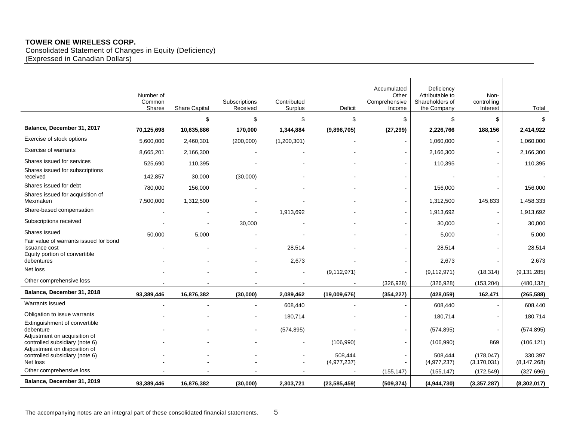Consolidated Statement of Changes in Equity (Deficiency) (Expressed in Canadian Dollars)

|                                                                                                | Number of<br>Common<br>Shares | <b>Share Capital</b> | Subscriptions<br>Received | Contributed<br>Surplus | Deficit                | Accumulated<br>Other<br>Comprehensive<br>Income | Deficiency<br>Attributable to<br>Shareholders of<br>the Company | Non-<br>controlling<br>Interest | Total                    |
|------------------------------------------------------------------------------------------------|-------------------------------|----------------------|---------------------------|------------------------|------------------------|-------------------------------------------------|-----------------------------------------------------------------|---------------------------------|--------------------------|
|                                                                                                |                               | \$                   | \$                        | \$                     | \$                     | \$                                              | \$                                                              | \$                              | \$                       |
| Balance, December 31, 2017                                                                     | 70,125,698                    | 10,635,886           | 170,000                   | 1,344,884              | (9,896,705)            | (27, 299)                                       | 2,226,766                                                       | 188,156                         | 2,414,922                |
| Exercise of stock options                                                                      | 5,600,000                     | 2,460,301            | (200,000)                 | (1,200,301)            |                        | $\blacksquare$                                  | 1,060,000                                                       | $\blacksquare$                  | 1,060,000                |
| Exercise of warrants                                                                           | 8,665,201                     | 2,166,300            |                           |                        |                        | $\blacksquare$                                  | 2,166,300                                                       |                                 | 2,166,300                |
| Shares issued for services                                                                     | 525,690                       | 110,395              |                           |                        |                        | $\blacksquare$                                  | 110,395                                                         |                                 | 110,395                  |
| Shares issued for subscriptions<br>received                                                    | 142,857                       | 30,000               | (30,000)                  |                        |                        | $\blacksquare$                                  |                                                                 |                                 |                          |
| Shares issued for debt                                                                         | 780,000                       | 156,000              |                           |                        |                        | $\blacksquare$                                  | 156,000                                                         |                                 | 156,000                  |
| Shares issued for acquisition of<br>Mexmaken                                                   | 7,500,000                     | 1,312,500            |                           |                        |                        | $\blacksquare$                                  | 1,312,500                                                       | 145,833                         | 1,458,333                |
| Share-based compensation                                                                       |                               |                      |                           | 1,913,692              |                        | $\blacksquare$                                  | 1,913,692                                                       | $\overline{\phantom{a}}$        | 1,913,692                |
| Subscriptions received                                                                         |                               |                      | 30,000                    |                        |                        | $\blacksquare$                                  | 30,000                                                          |                                 | 30,000                   |
| Shares issued                                                                                  | 50,000                        | 5,000                |                           |                        |                        | $\blacksquare$                                  | 5,000                                                           |                                 | 5,000                    |
| Fair value of warrants issued for bond                                                         |                               |                      |                           |                        |                        |                                                 |                                                                 |                                 |                          |
| issuance cost<br>Equity portion of convertible                                                 |                               |                      |                           | 28,514                 |                        | $\blacksquare$                                  | 28,514                                                          |                                 | 28,514                   |
| debentures                                                                                     |                               |                      |                           | 2,673                  |                        | $\overline{\phantom{0}}$                        | 2,673                                                           |                                 | 2,673                    |
| Net loss                                                                                       |                               |                      |                           |                        | (9, 112, 971)          | $\blacksquare$                                  | (9, 112, 971)                                                   | (18, 314)                       | (9, 131, 285)            |
| Other comprehensive loss                                                                       |                               |                      |                           |                        |                        | (326, 928)                                      | (326, 928)                                                      | (153, 204)                      | (480, 132)               |
| Balance, December 31, 2018                                                                     | 93,389,446                    | 16,876,382           | (30,000)                  | 2,089,462              | (19,009,676)           | (354, 227)                                      | (428, 059)                                                      | 162,471                         | (265, 588)               |
| Warrants issued                                                                                |                               |                      | $\blacksquare$            | 608,440                |                        | $\blacksquare$                                  | 608,440                                                         |                                 | 608,440                  |
| Obligation to issue warrants                                                                   |                               |                      |                           | 180,714                |                        | $\blacksquare$                                  | 180,714                                                         |                                 | 180,714                  |
| Extinguishment of convertible<br>debenture                                                     |                               |                      |                           | (574, 895)             |                        |                                                 | (574, 895)                                                      |                                 | (574, 895)               |
| Adjustment on acquisition of<br>controlled subsidiary (note 6)<br>Adjustment on disposition of |                               |                      |                           |                        | (106,990)              | $\blacksquare$                                  | (106, 990)                                                      | 869                             | (106, 121)               |
| controlled subsidiary (note 6)<br>Net loss                                                     |                               |                      |                           |                        | 508,444<br>(4,977,237) | $\blacksquare$                                  | 508,444<br>(4,977,237)                                          | (178, 047)<br>(3, 170, 031)     | 330,397<br>(8, 147, 268) |
| Other comprehensive loss                                                                       |                               |                      |                           |                        |                        | (155, 147)                                      | (155, 147)                                                      | (172, 549)                      | (327, 696)               |
| Balance, December 31, 2019                                                                     | 93,389,446                    | 16,876,382           | (30,000)                  | 2,303,721              | (23, 585, 459)         | (509, 374)                                      | (4,944,730)                                                     | (3,357,287)                     | (8,302,017)              |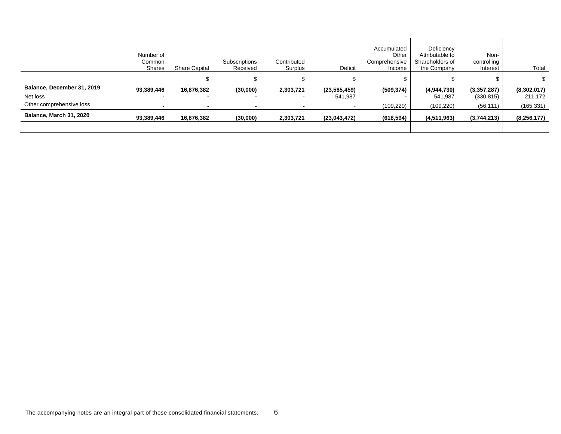|                                                                    | Number of<br>Common<br>Shares          | <b>Share Capital</b>                         | Subscriptions<br>Received | Contributed<br>Surplus | Deficit                   | Accumulated<br>Other<br>Comprehensive<br>Income | Deficiency<br>Attributable to<br>Shareholders of<br>the Company | Non-<br>controlling<br>Interest        | Total                               |
|--------------------------------------------------------------------|----------------------------------------|----------------------------------------------|---------------------------|------------------------|---------------------------|-------------------------------------------------|-----------------------------------------------------------------|----------------------------------------|-------------------------------------|
| Balance, December 31, 2019<br>Net loss<br>Other comprehensive loss | 93,389,446<br>$\overline{\phantom{0}}$ | \$<br>16,876,382<br>$\overline{\phantom{0}}$ | (30,000)                  | 2,303,721<br>-         | (23, 585, 459)<br>541,987 | (509, 374)<br>(109, 220)                        | (4,944,730)<br>541,987<br>(109, 220)                            | (3,357,287)<br>(330, 815)<br>(56, 111) | (8,302,017)<br>211,172<br>(165,331) |
| Balance, March 31, 2020                                            | 93,389,446                             | 16,876,382                                   | (30,000)                  | 2,303,721              | (23,043,472)              | (618, 594)                                      | (4,511,963)                                                     | (3,744,213)                            | (8,256,177)                         |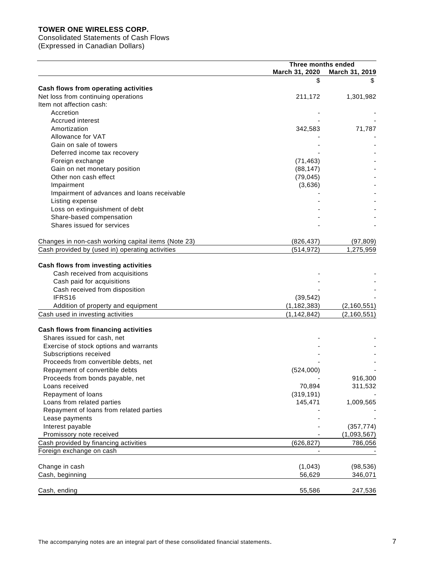## Consolidated Statements of Cash Flows

(Expressed in Canadian Dollars)

|                                                     | Three months ended |                           |
|-----------------------------------------------------|--------------------|---------------------------|
|                                                     | March 31, 2020     | March 31, 2019            |
|                                                     |                    |                           |
| Cash flows from operating activities                |                    |                           |
| Net loss from continuing operations                 | 211,172            | 1,301,982                 |
| Item not affection cash:                            |                    |                           |
| Accretion                                           |                    |                           |
| <b>Accrued interest</b>                             |                    |                           |
| Amortization                                        | 342,583            | 71,787                    |
| Allowance for VAT                                   |                    |                           |
| Gain on sale of towers                              |                    |                           |
| Deferred income tax recovery                        |                    |                           |
| Foreign exchange                                    | (71, 463)          |                           |
| Gain on net monetary position                       | (88, 147)          |                           |
| Other non cash effect                               | (79, 045)          |                           |
| Impairment                                          | (3,636)            |                           |
| Impairment of advances and loans receivable         |                    |                           |
| Listing expense                                     |                    |                           |
| Loss on extinguishment of debt                      |                    |                           |
| Share-based compensation                            |                    |                           |
| Shares issued for services                          |                    |                           |
|                                                     |                    |                           |
| Changes in non-cash working capital items (Note 23) | (826, 437)         | (97, 809)                 |
| Cash provided by (used in) operating activities     | (514, 972)         | 1,275,959                 |
|                                                     |                    |                           |
| Cash flows from investing activities                |                    |                           |
| Cash received from acquisitions                     |                    |                           |
| Cash paid for acquisitions                          |                    |                           |
| Cash received from disposition                      |                    |                           |
| IFRS16                                              | (39, 542)          |                           |
| Addition of property and equipment                  | (1, 182, 383)      | (2, 160, 551)             |
| Cash used in investing activities                   | (1, 142, 842)      | (2, 160, 551)             |
| Cash flows from financing activities                |                    |                           |
| Shares issued for cash, net                         |                    |                           |
| Exercise of stock options and warrants              |                    |                           |
| Subscriptions received                              |                    |                           |
| Proceeds from convertible debts, net                |                    |                           |
| Repayment of convertible debts                      |                    |                           |
|                                                     | (524,000)          |                           |
| Proceeds from bonds payable, net<br>Loans received  | 70,894             | 916,300<br>311,532        |
| Repayment of loans                                  | (319, 191)         |                           |
| Loans from related parties                          |                    |                           |
| Repayment of loans from related parties             | 145,471            | 1,009,565                 |
|                                                     |                    |                           |
| Lease payments<br>Interest payable                  |                    |                           |
| Promissory note received                            |                    | (357, 774)<br>(1,093,567) |
| Cash provided by financing activities               | (626, 827)         | 786,056                   |
| Foreign exchange on cash                            |                    |                           |
|                                                     |                    |                           |
| Change in cash                                      | (1,043)            | (98, 536)                 |
| Cash, beginning                                     | 56,629             | 346,071                   |
|                                                     |                    |                           |
| Cash, ending                                        | 55,586             | 247,536                   |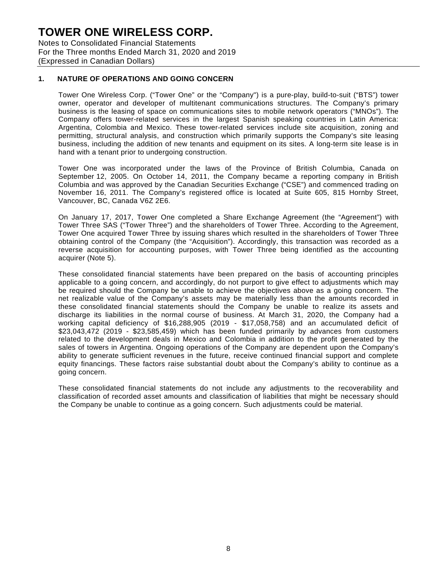Notes to Consolidated Financial Statements For the Three months Ended March 31, 2020 and 2019 (Expressed in Canadian Dollars)

### **1. NATURE OF OPERATIONS AND GOING CONCERN**

Tower One Wireless Corp. ("Tower One" or the "Company") is a pure-play, build-to-suit ("BTS") tower owner, operator and developer of multitenant communications structures. The Company's primary business is the leasing of space on communications sites to mobile network operators ("MNOs"). The Company offers tower-related services in the largest Spanish speaking countries in Latin America: Argentina, Colombia and Mexico. These tower-related services include site acquisition, zoning and permitting, structural analysis, and construction which primarily supports the Company's site leasing business, including the addition of new tenants and equipment on its sites. A long-term site lease is in hand with a tenant prior to undergoing construction.

Tower One was incorporated under the laws of the Province of British Columbia, Canada on September 12, 2005. On October 14, 2011, the Company became a reporting company in British Columbia and was approved by the Canadian Securities Exchange ("CSE") and commenced trading on November 16, 2011. The Company's registered office is located at Suite 605, 815 Hornby Street, Vancouver, BC, Canada V6Z 2E6.

On January 17, 2017, Tower One completed a Share Exchange Agreement (the "Agreement") with Tower Three SAS ("Tower Three") and the shareholders of Tower Three. According to the Agreement, Tower One acquired Tower Three by issuing shares which resulted in the shareholders of Tower Three obtaining control of the Company (the "Acquisition"). Accordingly, this transaction was recorded as a reverse acquisition for accounting purposes, with Tower Three being identified as the accounting acquirer (Note 5).

These consolidated financial statements have been prepared on the basis of accounting principles applicable to a going concern, and accordingly, do not purport to give effect to adjustments which may be required should the Company be unable to achieve the objectives above as a going concern. The net realizable value of the Company's assets may be materially less than the amounts recorded in these consolidated financial statements should the Company be unable to realize its assets and discharge its liabilities in the normal course of business. At March 31, 2020, the Company had a working capital deficiency of \$16,288,905 (2019 - \$17,058,758) and an accumulated deficit of \$23,043,472 (2019 - \$23,585,459) which has been funded primarily by advances from customers related to the development deals in Mexico and Colombia in addition to the profit generated by the sales of towers in Argentina. Ongoing operations of the Company are dependent upon the Company's ability to generate sufficient revenues in the future, receive continued financial support and complete equity financings. These factors raise substantial doubt about the Company's ability to continue as a going concern.

These consolidated financial statements do not include any adjustments to the recoverability and classification of recorded asset amounts and classification of liabilities that might be necessary should the Company be unable to continue as a going concern. Such adjustments could be material.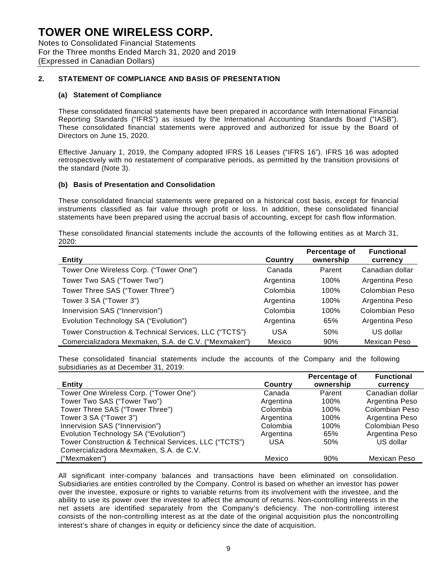Notes to Consolidated Financial Statements For the Three months Ended March 31, 2020 and 2019 (Expressed in Canadian Dollars)

## **2. STATEMENT OF COMPLIANCE AND BASIS OF PRESENTATION**

### **(a) Statement of Compliance**

These consolidated financial statements have been prepared in accordance with International Financial Reporting Standards ("IFRS") as issued by the International Accounting Standards Board ("IASB"). These consolidated financial statements were approved and authorized for issue by the Board of Directors on June 15, 2020.

Effective January 1, 2019, the Company adopted IFRS 16 Leases ("IFRS 16"). IFRS 16 was adopted retrospectively with no restatement of comparative periods, as permitted by the transition provisions of the standard (Note 3).

## **(b) Basis of Presentation and Consolidation**

These consolidated financial statements were prepared on a historical cost basis, except for financial instruments classified as fair value through profit or loss. In addition, these consolidated financial statements have been prepared using the accrual basis of accounting, except for cash flow information.

These consolidated financial statements include the accounts of the following entities as at March 31, 2020:

| <b>Entity</b>                                         | Country    | Percentage of<br>ownership | <b>Functional</b><br>currency |
|-------------------------------------------------------|------------|----------------------------|-------------------------------|
| Tower One Wireless Corp. ("Tower One")                | Canada     | Parent                     | Canadian dollar               |
| Tower Two SAS ("Tower Two")                           | Argentina  | 100%                       | Argentina Peso                |
| Tower Three SAS ("Tower Three")                       | Colombia   | 100%                       | Colombian Peso                |
| Tower 3 SA ("Tower 3")                                | Argentina  | 100%                       | Argentina Peso                |
| Innervision SAS ("Innervision")                       | Colombia   | 100%                       | Colombian Peso                |
| Evolution Technology SA ("Evolution")                 | Argentina  | 65%                        | Argentina Peso                |
| Tower Construction & Technical Services, LLC ("TCTS") | <b>USA</b> | 50%                        | US dollar                     |
| Comercializadora Mexmaken, S.A. de C.V. ("Mexmaken")  | Mexico     | 90%                        | Mexican Peso                  |

These consolidated financial statements include the accounts of the Company and the following subsidiaries as at December 31, 2019:

|                                                       |            | Percentage of | <b>Functional</b>     |
|-------------------------------------------------------|------------|---------------|-----------------------|
| <b>Entity</b>                                         | Country    | ownership     | currency              |
| Tower One Wireless Corp. ("Tower One")                | Canada     | Parent        | Canadian dollar       |
| Tower Two SAS ("Tower Two")                           | Argentina  | 100%          | Argentina Peso        |
| Tower Three SAS ("Tower Three")                       | Colombia   | 100%          | <b>Colombian Peso</b> |
| Tower 3 SA ("Tower 3")                                | Argentina  | 100%          | Argentina Peso        |
| Innervision SAS ("Innervision")                       | Colombia   | 100%          | <b>Colombian Peso</b> |
| Evolution Technology SA ("Evolution")                 | Argentina  | 65%           | Argentina Peso        |
| Tower Construction & Technical Services, LLC ("TCTS") | <b>USA</b> | 50%           | US dollar             |
| Comercializadora Mexmaken, S.A. de C.V.               |            |               |                       |
| ("Mexmaken")                                          | Mexico     | 90%           | Mexican Peso          |

All significant inter-company balances and transactions have been eliminated on consolidation. Subsidiaries are entities controlled by the Company. Control is based on whether an investor has power over the investee, exposure or rights to variable returns from its involvement with the investee, and the ability to use its power over the investee to affect the amount of returns. Non-controlling interests in the net assets are identified separately from the Company's deficiency. The non-controlling interest consists of the non-controlling interest as at the date of the original acquisition plus the noncontrolling interest's share of changes in equity or deficiency since the date of acquisition.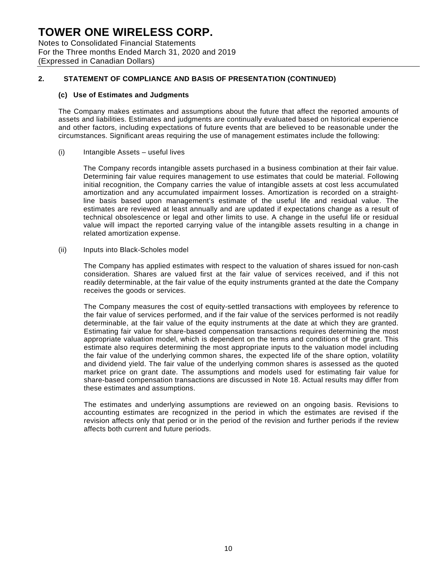Notes to Consolidated Financial Statements For the Three months Ended March 31, 2020 and 2019 (Expressed in Canadian Dollars)

### **2. STATEMENT OF COMPLIANCE AND BASIS OF PRESENTATION (CONTINUED)**

#### **(c) Use of Estimates and Judgments**

The Company makes estimates and assumptions about the future that affect the reported amounts of assets and liabilities. Estimates and judgments are continually evaluated based on historical experience and other factors, including expectations of future events that are believed to be reasonable under the circumstances. Significant areas requiring the use of management estimates include the following:

#### (i) Intangible Assets – useful lives

The Company records intangible assets purchased in a business combination at their fair value. Determining fair value requires management to use estimates that could be material. Following initial recognition, the Company carries the value of intangible assets at cost less accumulated amortization and any accumulated impairment losses. Amortization is recorded on a straightline basis based upon management's estimate of the useful life and residual value. The estimates are reviewed at least annually and are updated if expectations change as a result of technical obsolescence or legal and other limits to use. A change in the useful life or residual value will impact the reported carrying value of the intangible assets resulting in a change in related amortization expense.

#### (ii) Inputs into Black-Scholes model

The Company has applied estimates with respect to the valuation of shares issued for non-cash consideration. Shares are valued first at the fair value of services received, and if this not readily determinable, at the fair value of the equity instruments granted at the date the Company receives the goods or services.

The Company measures the cost of equity-settled transactions with employees by reference to the fair value of services performed, and if the fair value of the services performed is not readily determinable, at the fair value of the equity instruments at the date at which they are granted. Estimating fair value for share-based compensation transactions requires determining the most appropriate valuation model, which is dependent on the terms and conditions of the grant. This estimate also requires determining the most appropriate inputs to the valuation model including the fair value of the underlying common shares, the expected life of the share option, volatility and dividend yield. The fair value of the underlying common shares is assessed as the quoted market price on grant date. The assumptions and models used for estimating fair value for share-based compensation transactions are discussed in Note 18. Actual results may differ from these estimates and assumptions.

The estimates and underlying assumptions are reviewed on an ongoing basis. Revisions to accounting estimates are recognized in the period in which the estimates are revised if the revision affects only that period or in the period of the revision and further periods if the review affects both current and future periods.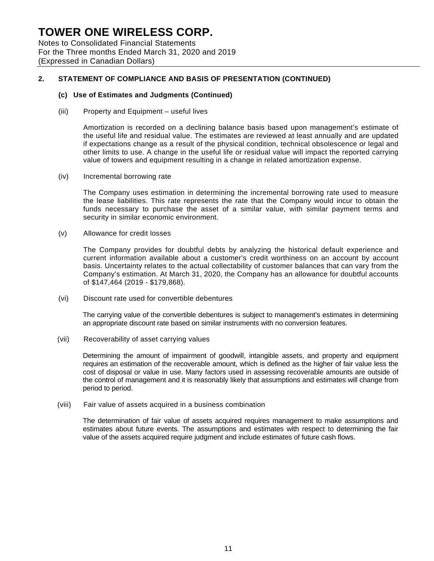Notes to Consolidated Financial Statements For the Three months Ended March 31, 2020 and 2019 (Expressed in Canadian Dollars)

### **2. STATEMENT OF COMPLIANCE AND BASIS OF PRESENTATION (CONTINUED)**

### **(c) Use of Estimates and Judgments (Continued)**

(iii) Property and Equipment – useful lives

Amortization is recorded on a declining balance basis based upon management's estimate of the useful life and residual value. The estimates are reviewed at least annually and are updated if expectations change as a result of the physical condition, technical obsolescence or legal and other limits to use. A change in the useful life or residual value will impact the reported carrying value of towers and equipment resulting in a change in related amortization expense.

(iv) Incremental borrowing rate

 The Company uses estimation in determining the incremental borrowing rate used to measure the lease liabilities. This rate represents the rate that the Company would incur to obtain the funds necessary to purchase the asset of a similar value, with similar payment terms and security in similar economic environment.

(v) Allowance for credit losses

 The Company provides for doubtful debts by analyzing the historical default experience and current information available about a customer's credit worthiness on an account by account basis. Uncertainty relates to the actual collectability of customer balances that can vary from the Company's estimation. At March 31, 2020, the Company has an allowance for doubtful accounts of \$147,464 (2019 - \$179,868).

(vi) Discount rate used for convertible debentures

The carrying value of the convertible debentures is subject to management's estimates in determining an appropriate discount rate based on similar instruments with no conversion features.

(vii) Recoverability of asset carrying values

Determining the amount of impairment of goodwill, intangible assets, and property and equipment requires an estimation of the recoverable amount, which is defined as the higher of fair value less the cost of disposal or value in use. Many factors used in assessing recoverable amounts are outside of the control of management and it is reasonably likely that assumptions and estimates will change from period to period.

(viii) Fair value of assets acquired in a business combination

The determination of fair value of assets acquired requires management to make assumptions and estimates about future events. The assumptions and estimates with respect to determining the fair value of the assets acquired require judgment and include estimates of future cash flows.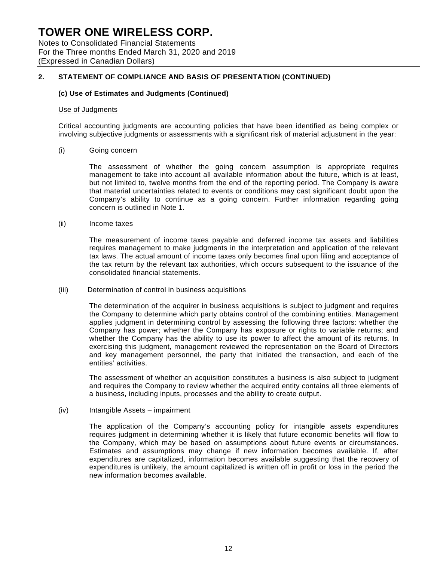Notes to Consolidated Financial Statements For the Three months Ended March 31, 2020 and 2019 (Expressed in Canadian Dollars)

### **2. STATEMENT OF COMPLIANCE AND BASIS OF PRESENTATION (CONTINUED)**

#### **(c) Use of Estimates and Judgments (Continued)**

#### Use of Judgments

Critical accounting judgments are accounting policies that have been identified as being complex or involving subjective judgments or assessments with a significant risk of material adjustment in the year:

#### (i) Going concern

The assessment of whether the going concern assumption is appropriate requires management to take into account all available information about the future, which is at least, but not limited to, twelve months from the end of the reporting period. The Company is aware that material uncertainties related to events or conditions may cast significant doubt upon the Company's ability to continue as a going concern. Further information regarding going concern is outlined in Note 1.

#### (ii) Income taxes

The measurement of income taxes payable and deferred income tax assets and liabilities requires management to make judgments in the interpretation and application of the relevant tax laws. The actual amount of income taxes only becomes final upon filing and acceptance of the tax return by the relevant tax authorities, which occurs subsequent to the issuance of the consolidated financial statements.

#### (iii) Determination of control in business acquisitions

The determination of the acquirer in business acquisitions is subject to judgment and requires the Company to determine which party obtains control of the combining entities. Management applies judgment in determining control by assessing the following three factors: whether the Company has power; whether the Company has exposure or rights to variable returns; and whether the Company has the ability to use its power to affect the amount of its returns. In exercising this judgment, management reviewed the representation on the Board of Directors and key management personnel, the party that initiated the transaction, and each of the entities' activities.

The assessment of whether an acquisition constitutes a business is also subject to judgment and requires the Company to review whether the acquired entity contains all three elements of a business, including inputs, processes and the ability to create output.

#### (iv) Intangible Assets – impairment

The application of the Company's accounting policy for intangible assets expenditures requires judgment in determining whether it is likely that future economic benefits will flow to the Company, which may be based on assumptions about future events or circumstances. Estimates and assumptions may change if new information becomes available. If, after expenditures are capitalized, information becomes available suggesting that the recovery of expenditures is unlikely, the amount capitalized is written off in profit or loss in the period the new information becomes available.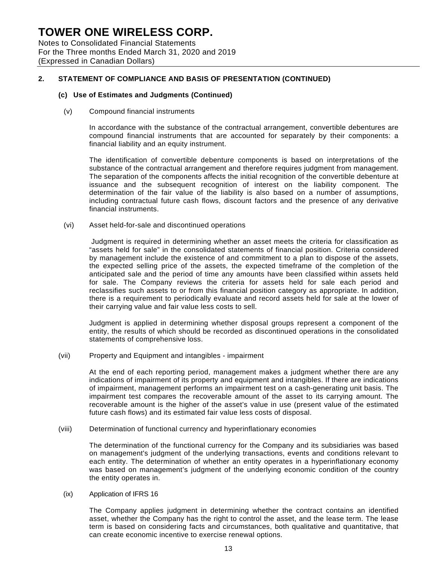### **2. STATEMENT OF COMPLIANCE AND BASIS OF PRESENTATION (CONTINUED)**

### **(c) Use of Estimates and Judgments (Continued)**

(v) Compound financial instruments

In accordance with the substance of the contractual arrangement, convertible debentures are compound financial instruments that are accounted for separately by their components: a financial liability and an equity instrument.

The identification of convertible debenture components is based on interpretations of the substance of the contractual arrangement and therefore requires judgment from management. The separation of the components affects the initial recognition of the convertible debenture at issuance and the subsequent recognition of interest on the liability component. The determination of the fair value of the liability is also based on a number of assumptions, including contractual future cash flows, discount factors and the presence of any derivative financial instruments.

(vi) Asset held-for-sale and discontinued operations

 Judgment is required in determining whether an asset meets the criteria for classification as "assets held for sale" in the consolidated statements of financial position. Criteria considered by management include the existence of and commitment to a plan to dispose of the assets, the expected selling price of the assets, the expected timeframe of the completion of the anticipated sale and the period of time any amounts have been classified within assets held for sale. The Company reviews the criteria for assets held for sale each period and reclassifies such assets to or from this financial position category as appropriate. In addition, there is a requirement to periodically evaluate and record assets held for sale at the lower of their carrying value and fair value less costs to sell.

Judgment is applied in determining whether disposal groups represent a component of the entity, the results of which should be recorded as discontinued operations in the consolidated statements of comprehensive loss.

(vii) Property and Equipment and intangibles - impairment

At the end of each reporting period, management makes a judgment whether there are any indications of impairment of its property and equipment and intangibles. If there are indications of impairment, management performs an impairment test on a cash-generating unit basis. The impairment test compares the recoverable amount of the asset to its carrying amount. The recoverable amount is the higher of the asset's value in use (present value of the estimated future cash flows) and its estimated fair value less costs of disposal.

(viii) Determination of functional currency and hyperinflationary economies

The determination of the functional currency for the Company and its subsidiaries was based on management's judgment of the underlying transactions, events and conditions relevant to each entity. The determination of whether an entity operates in a hyperinflationary economy was based on management's judgment of the underlying economic condition of the country the entity operates in.

(ix) Application of IFRS 16

The Company applies judgment in determining whether the contract contains an identified asset, whether the Company has the right to control the asset, and the lease term. The lease term is based on considering facts and circumstances, both qualitative and quantitative, that can create economic incentive to exercise renewal options.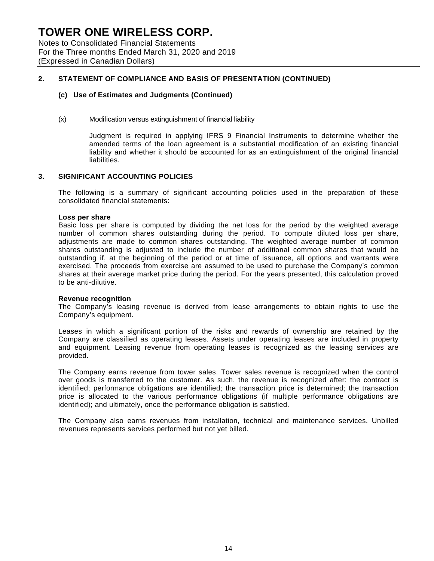Notes to Consolidated Financial Statements For the Three months Ended March 31, 2020 and 2019 (Expressed in Canadian Dollars)

### **2. STATEMENT OF COMPLIANCE AND BASIS OF PRESENTATION (CONTINUED)**

### **(c) Use of Estimates and Judgments (Continued)**

(x) Modification versus extinguishment of financial liability

Judgment is required in applying IFRS 9 Financial Instruments to determine whether the amended terms of the loan agreement is a substantial modification of an existing financial liability and whether it should be accounted for as an extinguishment of the original financial liabilities.

### **3. SIGNIFICANT ACCOUNTING POLICIES**

The following is a summary of significant accounting policies used in the preparation of these consolidated financial statements:

#### **Loss per share**

Basic loss per share is computed by dividing the net loss for the period by the weighted average number of common shares outstanding during the period. To compute diluted loss per share, adjustments are made to common shares outstanding. The weighted average number of common shares outstanding is adjusted to include the number of additional common shares that would be outstanding if, at the beginning of the period or at time of issuance, all options and warrants were exercised. The proceeds from exercise are assumed to be used to purchase the Company's common shares at their average market price during the period. For the years presented, this calculation proved to be anti-dilutive.

#### **Revenue recognition**

The Company's leasing revenue is derived from lease arrangements to obtain rights to use the Company's equipment.

Leases in which a significant portion of the risks and rewards of ownership are retained by the Company are classified as operating leases. Assets under operating leases are included in property and equipment. Leasing revenue from operating leases is recognized as the leasing services are provided.

The Company earns revenue from tower sales. Tower sales revenue is recognized when the control over goods is transferred to the customer. As such, the revenue is recognized after: the contract is identified; performance obligations are identified; the transaction price is determined; the transaction price is allocated to the various performance obligations (if multiple performance obligations are identified); and ultimately, once the performance obligation is satisfied.

The Company also earns revenues from installation, technical and maintenance services. Unbilled revenues represents services performed but not yet billed.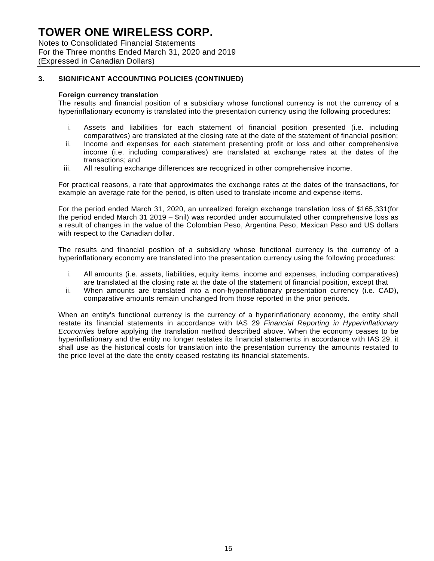Notes to Consolidated Financial Statements For the Three months Ended March 31, 2020 and 2019 (Expressed in Canadian Dollars)

### **3. SIGNIFICANT ACCOUNTING POLICIES (CONTINUED)**

### **Foreign currency translation**

The results and financial position of a subsidiary whose functional currency is not the currency of a hyperinflationary economy is translated into the presentation currency using the following procedures:

- i. Assets and liabilities for each statement of financial position presented (i.e. including comparatives) are translated at the closing rate at the date of the statement of financial position;
- ii. Income and expenses for each statement presenting profit or loss and other comprehensive income (i.e. including comparatives) are translated at exchange rates at the dates of the transactions; and
- iii. All resulting exchange differences are recognized in other comprehensive income.

For practical reasons, a rate that approximates the exchange rates at the dates of the transactions, for example an average rate for the period, is often used to translate income and expense items.

For the period ended March 31, 2020, an unrealized foreign exchange translation loss of \$165,331(for the period ended March 31 2019 – \$nil) was recorded under accumulated other comprehensive loss as a result of changes in the value of the Colombian Peso, Argentina Peso, Mexican Peso and US dollars with respect to the Canadian dollar.

The results and financial position of a subsidiary whose functional currency is the currency of a hyperinflationary economy are translated into the presentation currency using the following procedures:

- i. All amounts (i.e. assets, liabilities, equity items, income and expenses, including comparatives) are translated at the closing rate at the date of the statement of financial position, except that
- ii. When amounts are translated into a non-hyperinflationary presentation currency (i.e. CAD), comparative amounts remain unchanged from those reported in the prior periods.

When an entity's functional currency is the currency of a hyperinflationary economy, the entity shall restate its financial statements in accordance with IAS 29 *Financial Reporting in Hyperinflationary Economies* before applying the translation method described above. When the economy ceases to be hyperinflationary and the entity no longer restates its financial statements in accordance with IAS 29, it shall use as the historical costs for translation into the presentation currency the amounts restated to the price level at the date the entity ceased restating its financial statements.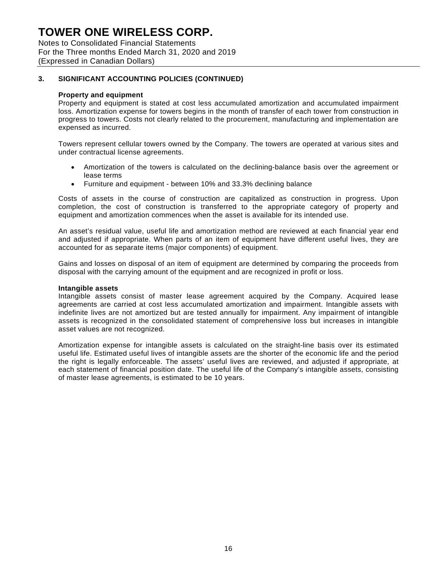Notes to Consolidated Financial Statements For the Three months Ended March 31, 2020 and 2019 (Expressed in Canadian Dollars)

### **3. SIGNIFICANT ACCOUNTING POLICIES (CONTINUED)**

### **Property and equipment**

Property and equipment is stated at cost less accumulated amortization and accumulated impairment loss. Amortization expense for towers begins in the month of transfer of each tower from construction in progress to towers. Costs not clearly related to the procurement, manufacturing and implementation are expensed as incurred.

Towers represent cellular towers owned by the Company. The towers are operated at various sites and under contractual license agreements.

- Amortization of the towers is calculated on the declining-balance basis over the agreement or lease terms
- Furniture and equipment between 10% and 33.3% declining balance

Costs of assets in the course of construction are capitalized as construction in progress. Upon completion, the cost of construction is transferred to the appropriate category of property and equipment and amortization commences when the asset is available for its intended use.

An asset's residual value, useful life and amortization method are reviewed at each financial year end and adjusted if appropriate. When parts of an item of equipment have different useful lives, they are accounted for as separate items (major components) of equipment.

Gains and losses on disposal of an item of equipment are determined by comparing the proceeds from disposal with the carrying amount of the equipment and are recognized in profit or loss.

#### **Intangible assets**

Intangible assets consist of master lease agreement acquired by the Company. Acquired lease agreements are carried at cost less accumulated amortization and impairment. Intangible assets with indefinite lives are not amortized but are tested annually for impairment. Any impairment of intangible assets is recognized in the consolidated statement of comprehensive loss but increases in intangible asset values are not recognized.

Amortization expense for intangible assets is calculated on the straight-line basis over its estimated useful life. Estimated useful lives of intangible assets are the shorter of the economic life and the period the right is legally enforceable. The assets' useful lives are reviewed, and adjusted if appropriate, at each statement of financial position date. The useful life of the Company's intangible assets, consisting of master lease agreements, is estimated to be 10 years.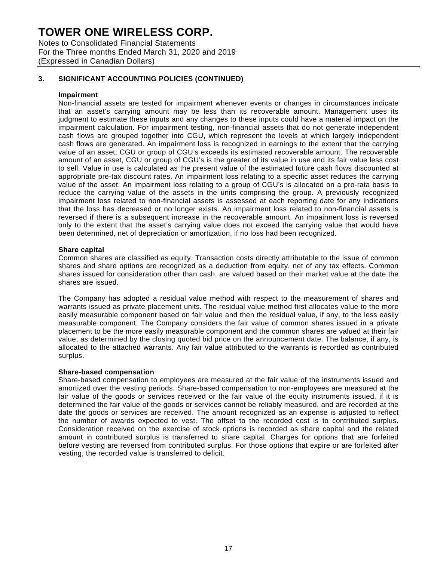Notes to Consolidated Financial Statements For the Three months Ended March 31, 2020 and 2019 (Expressed in Canadian Dollars)

### **3. SIGNIFICANT ACCOUNTING POLICIES (CONTINUED)**

#### **Impairment**

Non-financial assets are tested for impairment whenever events or changes in circumstances indicate that an asset's carrying amount may be less than its recoverable amount. Management uses its judgment to estimate these inputs and any changes to these inputs could have a material impact on the impairment calculation. For impairment testing, non-financial assets that do not generate independent cash flows are grouped together into CGU, which represent the levels at which largely independent cash flows are generated. An impairment loss is recognized in earnings to the extent that the carrying value of an asset, CGU or group of CGU's exceeds its estimated recoverable amount. The recoverable amount of an asset, CGU or group of CGU's is the greater of its value in use and its fair value less cost to sell. Value in use is calculated as the present value of the estimated future cash flows discounted at appropriate pre-tax discount rates. An impairment loss relating to a specific asset reduces the carrying value of the asset. An impairment loss relating to a group of CGU's is allocated on a pro-rata basis to reduce the carrying value of the assets in the units comprising the group. A previously recognized impairment loss related to non-financial assets is assessed at each reporting date for any indications that the loss has decreased or no longer exists. An impairment loss related to non-financial assets is reversed if there is a subsequent increase in the recoverable amount. An impairment loss is reversed only to the extent that the asset's carrying value does not exceed the carrying value that would have been determined, net of depreciation or amortization, if no loss had been recognized.

#### **Share capital**

Common shares are classified as equity. Transaction costs directly attributable to the issue of common shares and share options are recognized as a deduction from equity, net of any tax effects. Common shares issued for consideration other than cash, are valued based on their market value at the date the shares are issued.

The Company has adopted a residual value method with respect to the measurement of shares and warrants issued as private placement units. The residual value method first allocates value to the more easily measurable component based on fair value and then the residual value, if any, to the less easily measurable component. The Company considers the fair value of common shares issued in a private placement to be the more easily measurable component and the common shares are valued at their fair value, as determined by the closing quoted bid price on the announcement date. The balance, if any, is allocated to the attached warrants. Any fair value attributed to the warrants is recorded as contributed surplus.

#### **Share-based compensation**

Share-based compensation to employees are measured at the fair value of the instruments issued and amortized over the vesting periods. Share-based compensation to non-employees are measured at the fair value of the goods or services received or the fair value of the equity instruments issued, if it is determined the fair value of the goods or services cannot be reliably measured, and are recorded at the date the goods or services are received. The amount recognized as an expense is adjusted to reflect the number of awards expected to vest. The offset to the recorded cost is to contributed surplus. Consideration received on the exercise of stock options is recorded as share capital and the related amount in contributed surplus is transferred to share capital. Charges for options that are forfeited before vesting are reversed from contributed surplus. For those options that expire or are forfeited after vesting, the recorded value is transferred to deficit.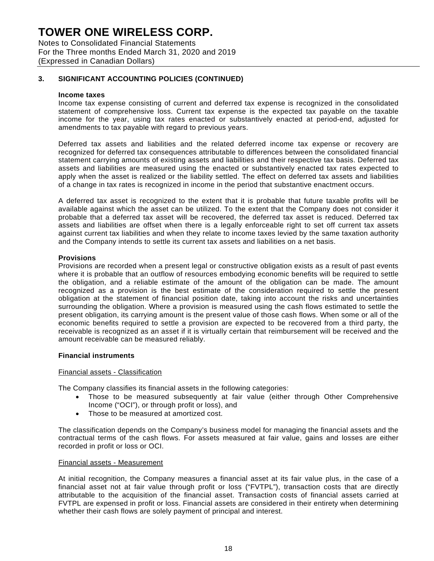Notes to Consolidated Financial Statements For the Three months Ended March 31, 2020 and 2019 (Expressed in Canadian Dollars)

### **3. SIGNIFICANT ACCOUNTING POLICIES (CONTINUED)**

#### **Income taxes**

Income tax expense consisting of current and deferred tax expense is recognized in the consolidated statement of comprehensive loss. Current tax expense is the expected tax payable on the taxable income for the year, using tax rates enacted or substantively enacted at period-end, adjusted for amendments to tax payable with regard to previous years.

Deferred tax assets and liabilities and the related deferred income tax expense or recovery are recognized for deferred tax consequences attributable to differences between the consolidated financial statement carrying amounts of existing assets and liabilities and their respective tax basis. Deferred tax assets and liabilities are measured using the enacted or substantively enacted tax rates expected to apply when the asset is realized or the liability settled. The effect on deferred tax assets and liabilities of a change in tax rates is recognized in income in the period that substantive enactment occurs.

A deferred tax asset is recognized to the extent that it is probable that future taxable profits will be available against which the asset can be utilized. To the extent that the Company does not consider it probable that a deferred tax asset will be recovered, the deferred tax asset is reduced. Deferred tax assets and liabilities are offset when there is a legally enforceable right to set off current tax assets against current tax liabilities and when they relate to income taxes levied by the same taxation authority and the Company intends to settle its current tax assets and liabilities on a net basis.

#### **Provisions**

Provisions are recorded when a present legal or constructive obligation exists as a result of past events where it is probable that an outflow of resources embodying economic benefits will be required to settle the obligation, and a reliable estimate of the amount of the obligation can be made. The amount recognized as a provision is the best estimate of the consideration required to settle the present obligation at the statement of financial position date, taking into account the risks and uncertainties surrounding the obligation. Where a provision is measured using the cash flows estimated to settle the present obligation, its carrying amount is the present value of those cash flows. When some or all of the economic benefits required to settle a provision are expected to be recovered from a third party, the receivable is recognized as an asset if it is virtually certain that reimbursement will be received and the amount receivable can be measured reliably.

#### **Financial instruments**

#### Financial assets - Classification

The Company classifies its financial assets in the following categories:

- Those to be measured subsequently at fair value (either through Other Comprehensive Income ("OCI"), or through profit or loss), and
- Those to be measured at amortized cost.

The classification depends on the Company's business model for managing the financial assets and the contractual terms of the cash flows. For assets measured at fair value, gains and losses are either recorded in profit or loss or OCI.

#### Financial assets - Measurement

At initial recognition, the Company measures a financial asset at its fair value plus, in the case of a financial asset not at fair value through profit or loss ("FVTPL"), transaction costs that are directly attributable to the acquisition of the financial asset. Transaction costs of financial assets carried at FVTPL are expensed in profit or loss. Financial assets are considered in their entirety when determining whether their cash flows are solely payment of principal and interest.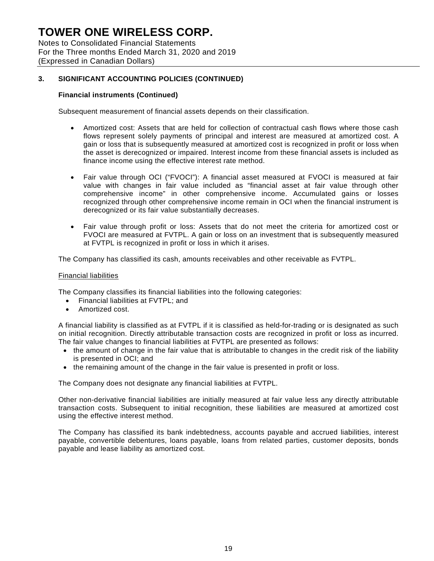Notes to Consolidated Financial Statements For the Three months Ended March 31, 2020 and 2019 (Expressed in Canadian Dollars)

## **3. SIGNIFICANT ACCOUNTING POLICIES (CONTINUED)**

### **Financial instruments (Continued)**

Subsequent measurement of financial assets depends on their classification.

- Amortized cost: Assets that are held for collection of contractual cash flows where those cash flows represent solely payments of principal and interest are measured at amortized cost. A gain or loss that is subsequently measured at amortized cost is recognized in profit or loss when the asset is derecognized or impaired. Interest income from these financial assets is included as finance income using the effective interest rate method.
- Fair value through OCI ("FVOCI"): A financial asset measured at FVOCI is measured at fair value with changes in fair value included as "financial asset at fair value through other comprehensive income" in other comprehensive income. Accumulated gains or losses recognized through other comprehensive income remain in OCI when the financial instrument is derecognized or its fair value substantially decreases.
- Fair value through profit or loss: Assets that do not meet the criteria for amortized cost or FVOCI are measured at FVTPL. A gain or loss on an investment that is subsequently measured at FVTPL is recognized in profit or loss in which it arises.

The Company has classified its cash, amounts receivables and other receivable as FVTPL.

### Financial liabilities

The Company classifies its financial liabilities into the following categories:

- Financial liabilities at FVTPL; and
- Amortized cost.

A financial liability is classified as at FVTPL if it is classified as held-for-trading or is designated as such on initial recognition. Directly attributable transaction costs are recognized in profit or loss as incurred. The fair value changes to financial liabilities at FVTPL are presented as follows:

- the amount of change in the fair value that is attributable to changes in the credit risk of the liability is presented in OCI; and
- the remaining amount of the change in the fair value is presented in profit or loss.

The Company does not designate any financial liabilities at FVTPL.

Other non-derivative financial liabilities are initially measured at fair value less any directly attributable transaction costs. Subsequent to initial recognition, these liabilities are measured at amortized cost using the effective interest method.

The Company has classified its bank indebtedness, accounts payable and accrued liabilities, interest payable, convertible debentures, loans payable, loans from related parties, customer deposits, bonds payable and lease liability as amortized cost.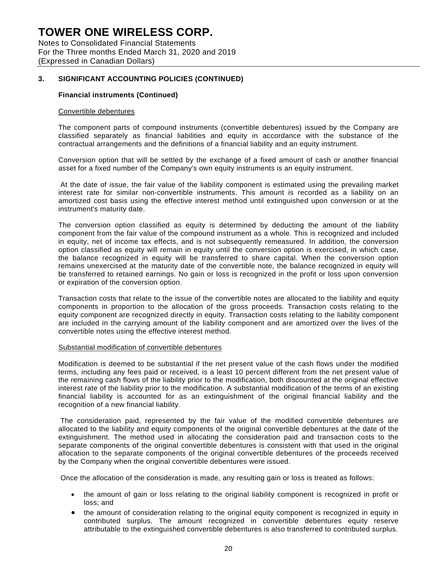Notes to Consolidated Financial Statements For the Three months Ended March 31, 2020 and 2019 (Expressed in Canadian Dollars)

### **3. SIGNIFICANT ACCOUNTING POLICIES (CONTINUED)**

### **Financial instruments (Continued)**

#### Convertible debentures

The component parts of compound instruments (convertible debentures) issued by the Company are classified separately as financial liabilities and equity in accordance with the substance of the contractual arrangements and the definitions of a financial liability and an equity instrument.

Conversion option that will be settled by the exchange of a fixed amount of cash or another financial asset for a fixed number of the Company's own equity instruments is an equity instrument.

 At the date of issue, the fair value of the liability component is estimated using the prevailing market interest rate for similar non-convertible instruments. This amount is recorded as a liability on an amortized cost basis using the effective interest method until extinguished upon conversion or at the instrument's maturity date.

The conversion option classified as equity is determined by deducting the amount of the liability component from the fair value of the compound instrument as a whole. This is recognized and included in equity, net of income tax effects, and is not subsequently remeasured. In addition, the conversion option classified as equity will remain in equity until the conversion option is exercised, in which case, the balance recognized in equity will be transferred to share capital. When the conversion option remains unexercised at the maturity date of the convertible note, the balance recognized in equity will be transferred to retained earnings. No gain or loss is recognized in the profit or loss upon conversion or expiration of the conversion option.

Transaction costs that relate to the issue of the convertible notes are allocated to the liability and equity components in proportion to the allocation of the gross proceeds. Transaction costs relating to the equity component are recognized directly in equity. Transaction costs relating to the liability component are included in the carrying amount of the liability component and are amortized over the lives of the convertible notes using the effective interest method.

#### Substantial modification of convertible debentures

Modification is deemed to be substantial if the net present value of the cash flows under the modified terms, including any fees paid or received, is a least 10 percent different from the net present value of the remaining cash flows of the liability prior to the modification, both discounted at the original effective interest rate of the liability prior to the modification. A substantial modification of the terms of an existing financial liability is accounted for as an extinguishment of the original financial liability and the recognition of a new financial liability.

 The consideration paid, represented by the fair value of the modified convertible debentures are allocated to the liability and equity components of the original convertible debentures at the date of the extinguishment. The method used in allocating the consideration paid and transaction costs to the separate components of the original convertible debentures is consistent with that used in the original allocation to the separate components of the original convertible debentures of the proceeds received by the Company when the original convertible debentures were issued.

Once the allocation of the consideration is made, any resulting gain or loss is treated as follows:

- the amount of gain or loss relating to the original liability component is recognized in profit or loss; and
- the amount of consideration relating to the original equity component is recognized in equity in contributed surplus. The amount recognized in convertible debentures equity reserve attributable to the extinguished convertible debentures is also transferred to contributed surplus.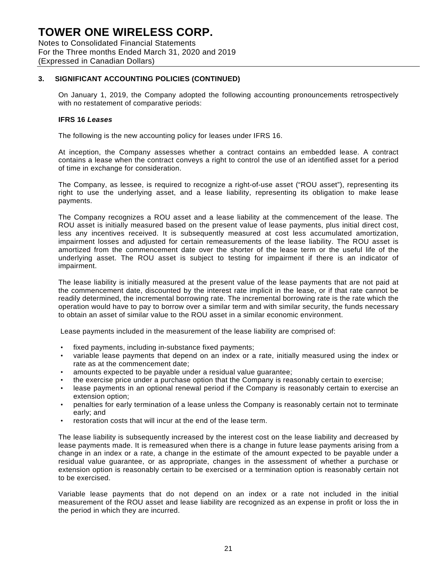Notes to Consolidated Financial Statements For the Three months Ended March 31, 2020 and 2019 (Expressed in Canadian Dollars)

### **3. SIGNIFICANT ACCOUNTING POLICIES (CONTINUED)**

On January 1, 2019, the Company adopted the following accounting pronouncements retrospectively with no restatement of comparative periods:

#### **IFRS 16** *Leases*

The following is the new accounting policy for leases under IFRS 16.

At inception, the Company assesses whether a contract contains an embedded lease. A contract contains a lease when the contract conveys a right to control the use of an identified asset for a period of time in exchange for consideration.

The Company, as lessee, is required to recognize a right-of-use asset ("ROU asset"), representing its right to use the underlying asset, and a lease liability, representing its obligation to make lease payments.

The Company recognizes a ROU asset and a lease liability at the commencement of the lease. The ROU asset is initially measured based on the present value of lease payments, plus initial direct cost, less any incentives received. It is subsequently measured at cost less accumulated amortization, impairment losses and adjusted for certain remeasurements of the lease liability. The ROU asset is amortized from the commencement date over the shorter of the lease term or the useful life of the underlying asset. The ROU asset is subject to testing for impairment if there is an indicator of impairment.

The lease liability is initially measured at the present value of the lease payments that are not paid at the commencement date, discounted by the interest rate implicit in the lease, or if that rate cannot be readily determined, the incremental borrowing rate. The incremental borrowing rate is the rate which the operation would have to pay to borrow over a similar term and with similar security, the funds necessary to obtain an asset of similar value to the ROU asset in a similar economic environment.

Lease payments included in the measurement of the lease liability are comprised of:

- fixed payments, including in-substance fixed payments;
- variable lease payments that depend on an index or a rate, initially measured using the index or rate as at the commencement date;
- amounts expected to be payable under a residual value quarantee;
- the exercise price under a purchase option that the Company is reasonably certain to exercise;
- lease payments in an optional renewal period if the Company is reasonably certain to exercise an extension option;
- penalties for early termination of a lease unless the Company is reasonably certain not to terminate early; and
- restoration costs that will incur at the end of the lease term.

The lease liability is subsequently increased by the interest cost on the lease liability and decreased by lease payments made. It is remeasured when there is a change in future lease payments arising from a change in an index or a rate, a change in the estimate of the amount expected to be payable under a residual value guarantee, or as appropriate, changes in the assessment of whether a purchase or extension option is reasonably certain to be exercised or a termination option is reasonably certain not to be exercised.

Variable lease payments that do not depend on an index or a rate not included in the initial measurement of the ROU asset and lease liability are recognized as an expense in profit or loss the in the period in which they are incurred.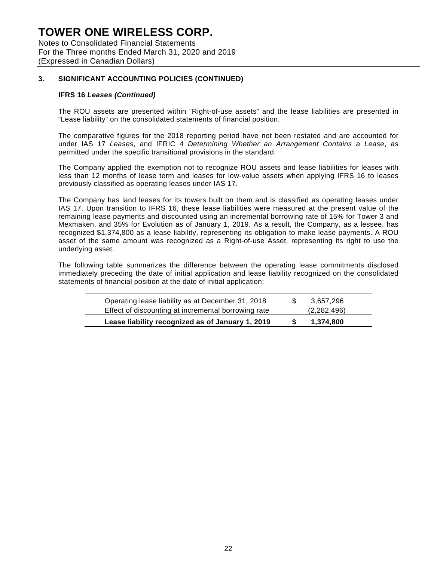Notes to Consolidated Financial Statements For the Three months Ended March 31, 2020 and 2019 (Expressed in Canadian Dollars)

### **3. SIGNIFICANT ACCOUNTING POLICIES (CONTINUED)**

#### **IFRS 16** *Leases (Continued)*

The ROU assets are presented within "Right-of-use assets" and the lease liabilities are presented in "Lease liability" on the consolidated statements of financial position.

The comparative figures for the 2018 reporting period have not been restated and are accounted for under IAS 17 *Leases*, and IFRIC 4 *Determining Whether an Arrangement Contains a Lease*, as permitted under the specific transitional provisions in the standard.

The Company applied the exemption not to recognize ROU assets and lease liabilities for leases with less than 12 months of lease term and leases for low-value assets when applying IFRS 16 to leases previously classified as operating leases under IAS 17.

The Company has land leases for its towers built on them and is classified as operating leases under IAS 17. Upon transition to IFRS 16, these lease liabilities were measured at the present value of the remaining lease payments and discounted using an incremental borrowing rate of 15% for Tower 3 and Mexmaken, and 35% for Evolution as of January 1, 2019. As a result, the Company, as a lessee, has recognized \$1,374,800 as a lease liability, representing its obligation to make lease payments. A ROU asset of the same amount was recognized as a Right-of-use Asset, representing its right to use the underlying asset.

The following table summarizes the difference between the operating lease commitments disclosed immediately preceding the date of initial application and lease liability recognized on the consolidated statements of financial position at the date of initial application:

| Lease liability recognized as of January 1, 2019    | 1,374,800   |  |
|-----------------------------------------------------|-------------|--|
| Effect of discounting at incremental borrowing rate | (2,282,496) |  |
| Operating lease liability as at December 31, 2018   | 3.657,296   |  |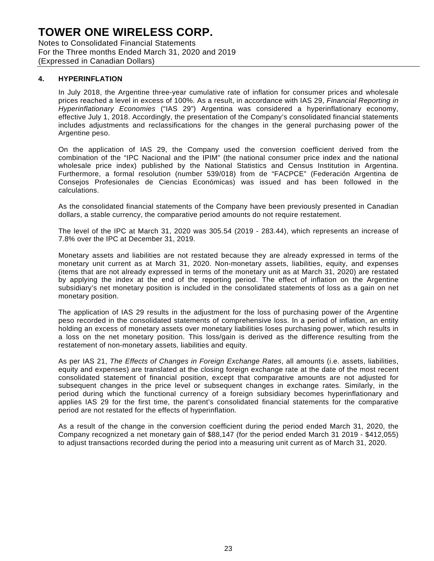Notes to Consolidated Financial Statements For the Three months Ended March 31, 2020 and 2019 (Expressed in Canadian Dollars)

### **4. HYPERINFLATION**

In July 2018, the Argentine three-year cumulative rate of inflation for consumer prices and wholesale prices reached a level in excess of 100%. As a result, in accordance with IAS 29, *Financial Reporting in Hyperinflationary Economies* ("IAS 29") Argentina was considered a hyperinflationary economy, effective July 1, 2018. Accordingly, the presentation of the Company's consolidated financial statements includes adjustments and reclassifications for the changes in the general purchasing power of the Argentine peso.

On the application of IAS 29, the Company used the conversion coefficient derived from the combination of the "IPC Nacional and the IPIM" (the national consumer price index and the national wholesale price index) published by the National Statistics and Census Institution in Argentina. Furthermore, a formal resolution (number 539/018) from de "FACPCE" (Federación Argentina de Consejos Profesionales de Ciencias Económicas) was issued and has been followed in the calculations.

As the consolidated financial statements of the Company have been previously presented in Canadian dollars, a stable currency, the comparative period amounts do not require restatement.

The level of the IPC at March 31, 2020 was 305.54 (2019 - 283.44), which represents an increase of 7.8% over the IPC at December 31, 2019.

Monetary assets and liabilities are not restated because they are already expressed in terms of the monetary unit current as at March 31, 2020. Non-monetary assets, liabilities, equity, and expenses (items that are not already expressed in terms of the monetary unit as at March 31, 2020) are restated by applying the index at the end of the reporting period. The effect of inflation on the Argentine subsidiary's net monetary position is included in the consolidated statements of loss as a gain on net monetary position.

The application of IAS 29 results in the adjustment for the loss of purchasing power of the Argentine peso recorded in the consolidated statements of comprehensive loss. In a period of inflation, an entity holding an excess of monetary assets over monetary liabilities loses purchasing power, which results in a loss on the net monetary position. This loss/gain is derived as the difference resulting from the restatement of non-monetary assets, liabilities and equity.

As per IAS 21, *The Effects of Changes in Foreign Exchange Rates*, all amounts (i.e. assets, liabilities, equity and expenses) are translated at the closing foreign exchange rate at the date of the most recent consolidated statement of financial position, except that comparative amounts are not adjusted for subsequent changes in the price level or subsequent changes in exchange rates. Similarly, in the period during which the functional currency of a foreign subsidiary becomes hyperinflationary and applies IAS 29 for the first time, the parent's consolidated financial statements for the comparative period are not restated for the effects of hyperinflation.

As a result of the change in the conversion coefficient during the period ended March 31, 2020, the Company recognized a net monetary gain of \$88,147 (for the period ended March 31 2019 - \$412,055) to adjust transactions recorded during the period into a measuring unit current as of March 31, 2020.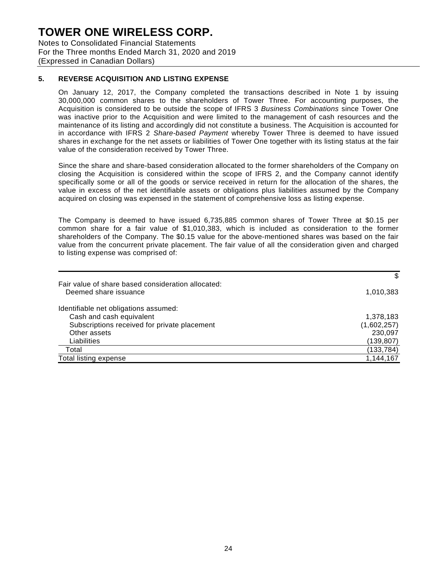Notes to Consolidated Financial Statements For the Three months Ended March 31, 2020 and 2019 (Expressed in Canadian Dollars)

### **5. REVERSE ACQUISITION AND LISTING EXPENSE**

On January 12, 2017, the Company completed the transactions described in Note 1 by issuing 30,000,000 common shares to the shareholders of Tower Three. For accounting purposes, the Acquisition is considered to be outside the scope of IFRS 3 *Business Combinations* since Tower One was inactive prior to the Acquisition and were limited to the management of cash resources and the maintenance of its listing and accordingly did not constitute a business. The Acquisition is accounted for in accordance with IFRS 2 *Share-based Payment* whereby Tower Three is deemed to have issued shares in exchange for the net assets or liabilities of Tower One together with its listing status at the fair value of the consideration received by Tower Three.

Since the share and share-based consideration allocated to the former shareholders of the Company on closing the Acquisition is considered within the scope of IFRS 2, and the Company cannot identify specifically some or all of the goods or service received in return for the allocation of the shares, the value in excess of the net identifiable assets or obligations plus liabilities assumed by the Company acquired on closing was expensed in the statement of comprehensive loss as listing expense.

The Company is deemed to have issued 6,735,885 common shares of Tower Three at \$0.15 per common share for a fair value of \$1,010,383, which is included as consideration to the former shareholders of the Company. The \$0.15 value for the above-mentioned shares was based on the fair value from the concurrent private placement. The fair value of all the consideration given and charged to listing expense was comprised of:

|                                                                             | \$          |
|-----------------------------------------------------------------------------|-------------|
| Fair value of share based consideration allocated:<br>Deemed share issuance | 1,010,383   |
| Identifiable net obligations assumed:                                       |             |
| Cash and cash equivalent                                                    | 1,378,183   |
| Subscriptions received for private placement                                | (1,602,257) |
| Other assets                                                                | 230,097     |
| Liabilities                                                                 | (139, 807)  |
| Total                                                                       | (133, 784)  |
| Total listing expense                                                       | 1,144,167   |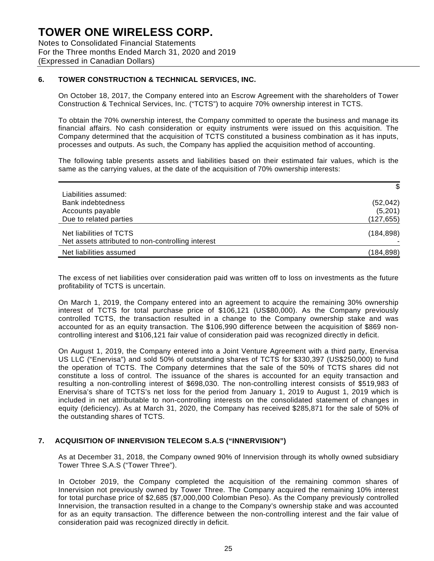Notes to Consolidated Financial Statements For the Three months Ended March 31, 2020 and 2019 (Expressed in Canadian Dollars)

### **6. TOWER CONSTRUCTION & TECHNICAL SERVICES, INC.**

On October 18, 2017, the Company entered into an Escrow Agreement with the shareholders of Tower Construction & Technical Services, Inc. ("TCTS") to acquire 70% ownership interest in TCTS.

To obtain the 70% ownership interest, the Company committed to operate the business and manage its financial affairs. No cash consideration or equity instruments were issued on this acquisition. The Company determined that the acquisition of TCTS constituted a business combination as it has inputs, processes and outputs. As such, the Company has applied the acquisition method of accounting.

The following table presents assets and liabilities based on their estimated fair values, which is the same as the carrying values, at the date of the acquisition of 70% ownership interests:

| \$         |
|------------|
|            |
| (52, 042)  |
| (5,201)    |
| (127, 655) |
|            |
| (184, 898) |
|            |
| (184,898)  |
|            |

The excess of net liabilities over consideration paid was written off to loss on investments as the future profitability of TCTS is uncertain.

On March 1, 2019, the Company entered into an agreement to acquire the remaining 30% ownership interest of TCTS for total purchase price of \$106,121 (US\$80,000). As the Company previously controlled TCTS, the transaction resulted in a change to the Company ownership stake and was accounted for as an equity transaction. The \$106,990 difference between the acquisition of \$869 noncontrolling interest and \$106,121 fair value of consideration paid was recognized directly in deficit.

On August 1, 2019, the Company entered into a Joint Venture Agreement with a third party, Enervisa US LLC ("Enervisa") and sold 50% of outstanding shares of TCTS for \$330,397 (US\$250,000) to fund the operation of TCTS. The Company determines that the sale of the 50% of TCTS shares did not constitute a loss of control. The issuance of the shares is accounted for an equity transaction and resulting a non-controlling interest of \$698,030. The non-controlling interest consists of \$519,983 of Enervisa's share of TCTS's net loss for the period from January 1, 2019 to August 1, 2019 which is included in net attributable to non-controlling interests on the consolidated statement of changes in equity (deficiency). As at March 31, 2020, the Company has received \$285,871 for the sale of 50% of the outstanding shares of TCTS.

### **7. ACQUISITION OF INNERVISION TELECOM S.A.S ("INNERVISION")**

 As at December 31, 2018, the Company owned 90% of Innervision through its wholly owned subsidiary Tower Three S.A.S ("Tower Three").

 In October 2019, the Company completed the acquisition of the remaining common shares of Innervision not previously owned by Tower Three. The Company acquired the remaining 10% interest for total purchase price of \$2,685 (\$7,000,000 Colombian Peso). As the Company previously controlled Innervision, the transaction resulted in a change to the Company's ownership stake and was accounted for as an equity transaction. The difference between the non-controlling interest and the fair value of consideration paid was recognized directly in deficit.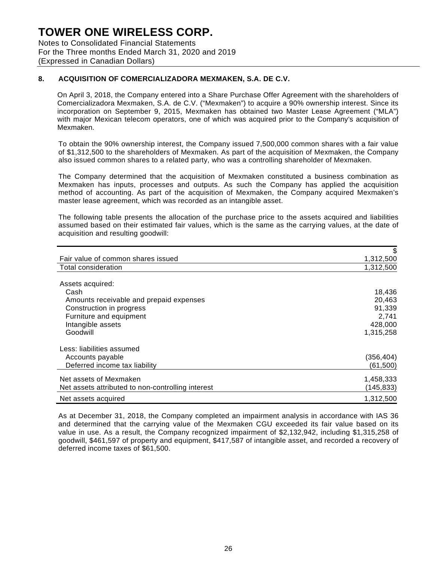Notes to Consolidated Financial Statements For the Three months Ended March 31, 2020 and 2019 (Expressed in Canadian Dollars)

### **8. ACQUISITION OF COMERCIALIZADORA MEXMAKEN, S.A. DE C.V.**

On April 3, 2018, the Company entered into a Share Purchase Offer Agreement with the shareholders of Comercializadora Mexmaken, S.A. de C.V. ("Mexmaken") to acquire a 90% ownership interest. Since its incorporation on September 9, 2015, Mexmaken has obtained two Master Lease Agreement ("MLA") with major Mexican telecom operators, one of which was acquired prior to the Company's acquisition of Mexmaken.

To obtain the 90% ownership interest, the Company issued 7,500,000 common shares with a fair value of \$1,312,500 to the shareholders of Mexmaken. As part of the acquisition of Mexmaken, the Company also issued common shares to a related party, who was a controlling shareholder of Mexmaken.

The Company determined that the acquisition of Mexmaken constituted a business combination as Mexmaken has inputs, processes and outputs. As such the Company has applied the acquisition method of accounting. As part of the acquisition of Mexmaken, the Company acquired Mexmaken's master lease agreement, which was recorded as an intangible asset.

The following table presents the allocation of the purchase price to the assets acquired and liabilities assumed based on their estimated fair values, which is the same as the carrying values, at the date of acquisition and resulting goodwill:

|                                                   | \$         |
|---------------------------------------------------|------------|
| Fair value of common shares issued                | 1,312,500  |
| <b>Total consideration</b>                        | 1,312,500  |
|                                                   |            |
| Assets acquired:                                  |            |
| Cash                                              | 18,436     |
| Amounts receivable and prepaid expenses           | 20,463     |
| Construction in progress                          | 91,339     |
| Furniture and equipment                           | 2,741      |
| Intangible assets                                 | 428,000    |
| Goodwill                                          | 1,315,258  |
| Less: liabilities assumed                         |            |
| Accounts payable                                  | (356, 404) |
| Deferred income tax liability                     | (61, 500)  |
| Net assets of Mexmaken                            | 1,458,333  |
| Net assets attributed to non-controlling interest | (145,833)  |
| Net assets acquired                               | 1,312,500  |

As at December 31, 2018, the Company completed an impairment analysis in accordance with IAS 36 and determined that the carrying value of the Mexmaken CGU exceeded its fair value based on its value in use. As a result, the Company recognized impairment of \$2,132,942, including \$1,315,258 of goodwill, \$461,597 of property and equipment, \$417,587 of intangible asset, and recorded a recovery of deferred income taxes of \$61,500.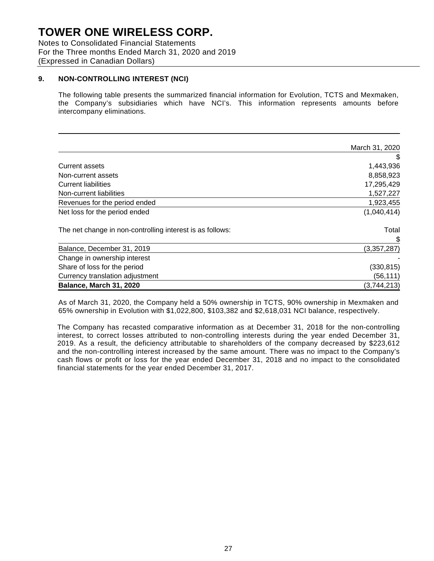Notes to Consolidated Financial Statements For the Three months Ended March 31, 2020 and 2019 (Expressed in Canadian Dollars)

## **9. NON-CONTROLLING INTEREST (NCI)**

The following table presents the summarized financial information for Evolution, TCTS and Mexmaken, the Company's subsidiaries which have NCI's. This information represents amounts before intercompany eliminations.

|                                                           | March 31, 2020 |
|-----------------------------------------------------------|----------------|
|                                                           | S.             |
| Current assets                                            | 1,443,936      |
| Non-current assets                                        | 8,858,923      |
| <b>Current liabilities</b>                                | 17,295,429     |
| Non-current liabilities                                   | 1,527,227      |
| Revenues for the period ended                             | 1,923,455      |
| Net loss for the period ended                             | (1,040,414)    |
| The net change in non-controlling interest is as follows: | Total          |
|                                                           | \$             |
| Balance, December 31, 2019                                | (3,357,287)    |
| Change in ownership interest                              |                |
| Share of loss for the period                              | (330, 815)     |
| Currency translation adjustment                           | (56,111)       |
| <b>Balance, March 31, 2020</b>                            | (3,744,213)    |

As of March 31, 2020, the Company held a 50% ownership in TCTS, 90% ownership in Mexmaken and 65% ownership in Evolution with \$1,022,800, \$103,382 and \$2,618,031 NCI balance, respectively.

The Company has recasted comparative information as at December 31, 2018 for the non-controlling interest, to correct losses attributed to non-controlling interests during the year ended December 31, 2019. As a result, the deficiency attributable to shareholders of the company decreased by \$223,612 and the non-controlling interest increased by the same amount. There was no impact to the Company's cash flows or profit or loss for the year ended December 31, 2018 and no impact to the consolidated financial statements for the year ended December 31, 2017.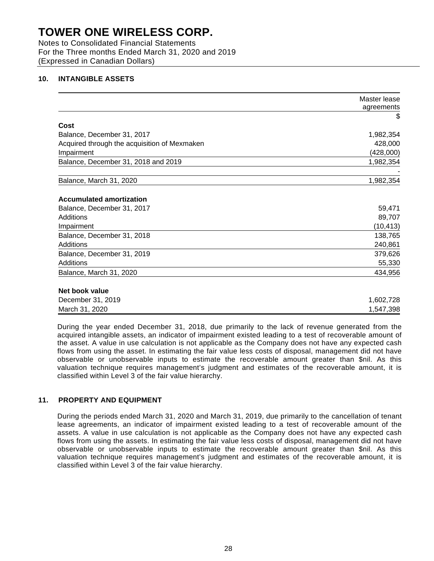Notes to Consolidated Financial Statements For the Three months Ended March 31, 2020 and 2019 (Expressed in Canadian Dollars)

### **10. INTANGIBLE ASSETS**

|                                              | Master lease |
|----------------------------------------------|--------------|
|                                              | agreements   |
|                                              | \$           |
| Cost                                         |              |
| Balance, December 31, 2017                   | 1,982,354    |
| Acquired through the acquisition of Mexmaken | 428,000      |
| Impairment                                   | (428,000)    |
| Balance, December 31, 2018 and 2019          | 1,982,354    |
| Balance, March 31, 2020                      | 1,982,354    |
|                                              |              |
| <b>Accumulated amortization</b>              |              |
| Balance, December 31, 2017                   | 59,471       |
| Additions                                    | 89,707       |
| Impairment                                   | (10,413)     |
| Balance, December 31, 2018                   | 138,765      |
| Additions                                    | 240,861      |
| Balance, December 31, 2019                   | 379,626      |
| Additions                                    | 55,330       |
| Balance, March 31, 2020                      | 434,956      |
| Net book value                               |              |
| December 31, 2010                            | 1.602.728    |

| December 31, 2019 | 1,602,728 |
|-------------------|-----------|
| March 31, 2020    | 1,547,398 |

 During the year ended December 31, 2018, due primarily to the lack of revenue generated from the acquired intangible assets, an indicator of impairment existed leading to a test of recoverable amount of the asset. A value in use calculation is not applicable as the Company does not have any expected cash flows from using the asset. In estimating the fair value less costs of disposal, management did not have observable or unobservable inputs to estimate the recoverable amount greater than \$nil. As this valuation technique requires management's judgment and estimates of the recoverable amount, it is classified within Level 3 of the fair value hierarchy.

### **11. PROPERTY AND EQUIPMENT**

During the periods ended March 31, 2020 and March 31, 2019, due primarily to the cancellation of tenant lease agreements, an indicator of impairment existed leading to a test of recoverable amount of the assets. A value in use calculation is not applicable as the Company does not have any expected cash flows from using the assets. In estimating the fair value less costs of disposal, management did not have observable or unobservable inputs to estimate the recoverable amount greater than \$nil. As this valuation technique requires management's judgment and estimates of the recoverable amount, it is classified within Level 3 of the fair value hierarchy.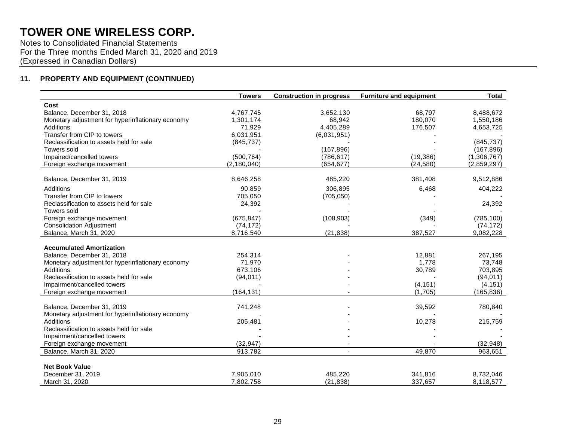Notes to Consolidated Financial Statements For the Three months Ended March 31, 2020 and 2019 (Expressed in Canadian Dollars)

## **11. PROPERTY AND EQUIPMENT (CONTINUED)**

|                                                   | <b>Towers</b> | <b>Construction in progress</b> | <b>Furniture and equipment</b> | <b>Total</b> |
|---------------------------------------------------|---------------|---------------------------------|--------------------------------|--------------|
| Cost                                              |               |                                 |                                |              |
| Balance, December 31, 2018                        | 4,767,745     | 3,652,130                       | 68,797                         | 8,488,672    |
| Monetary adjustment for hyperinflationary economy | 1,301,174     | 68,942                          | 180,070                        | 1,550,186    |
| Additions                                         | 71,929        | 4,405,289                       | 176,507                        | 4,653,725    |
| Transfer from CIP to towers                       | 6,031,951     | (6,031,951)                     |                                |              |
| Reclassification to assets held for sale          | (845, 737)    |                                 |                                | (845, 737)   |
| Towers sold                                       |               | (167, 896)                      |                                | (167, 896)   |
| Impaired/cancelled towers                         | (500, 764)    | (786, 617)                      | (19, 386)                      | (1,306,767)  |
| Foreign exchange movement                         | (2, 180, 040) | (654, 677)                      | (24, 580)                      | (2,859,297)  |
| Balance, December 31, 2019                        | 8,646,258     | 485,220                         | 381,408                        | 9,512,886    |
| Additions                                         | 90.859        | 306,895                         | 6,468                          | 404,222      |
| Transfer from CIP to towers                       | 705,050       | (705,050)                       |                                |              |
| Reclassification to assets held for sale          | 24,392        |                                 |                                | 24,392       |
| Towers sold                                       |               |                                 |                                |              |
| Foreign exchange movement                         | (675, 847)    | (108, 903)                      | (349)                          | (785, 100)   |
| <b>Consolidation Adjustment</b>                   | (74, 172)     |                                 |                                | (74, 172)    |
| Balance, March 31, 2020                           | 8,716,540     | (21, 838)                       | 387,527                        | 9,082,228    |
| <b>Accumulated Amortization</b>                   |               |                                 |                                |              |
| Balance, December 31, 2018                        | 254,314       |                                 | 12,881                         | 267,195      |
| Monetary adjustment for hyperinflationary economy | 71,970        |                                 | 1,778                          | 73,748       |
| Additions                                         | 673,106       |                                 | 30,789                         | 703,895      |
| Reclassification to assets held for sale          | (94, 011)     |                                 |                                | (94, 011)    |
| Impairment/cancelled towers                       |               |                                 | (4, 151)                       | (4, 151)     |
| Foreign exchange movement                         | (164, 131)    |                                 | (1,705)                        | (165, 836)   |
| Balance, December 31, 2019                        | 741,248       |                                 | 39,592                         | 780,840      |
| Monetary adjustment for hyperinflationary economy |               |                                 |                                |              |
| <b>Additions</b>                                  | 205,481       |                                 | 10,278                         | 215,759      |
| Reclassification to assets held for sale          |               |                                 |                                |              |
| Impairment/cancelled towers                       |               |                                 |                                |              |
| Foreign exchange movement                         | (32, 947)     |                                 |                                | (32,948)     |
| Balance, March 31, 2020                           | 913,782       | $\blacksquare$                  | 49,870                         | 963,651      |
| <b>Net Book Value</b>                             |               |                                 |                                |              |
| December 31, 2019                                 | 7,905,010     | 485,220                         | 341,816                        | 8,732,046    |
| March 31, 2020                                    | 7,802,758     | (21, 838)                       | 337,657                        | 8,118,577    |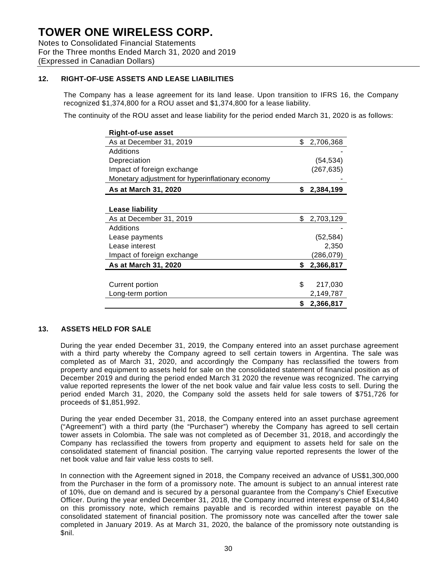Notes to Consolidated Financial Statements For the Three months Ended March 31, 2020 and 2019 (Expressed in Canadian Dollars)

## **12. RIGHT-OF-USE ASSETS AND LEASE LIABILITIES**

The Company has a lease agreement for its land lease. Upon transition to IFRS 16, the Company recognized \$1,374,800 for a ROU asset and \$1,374,800 for a lease liability.

The continuity of the ROU asset and lease liability for the period ended March 31, 2020 is as follows:

| <b>Right-of-use asset</b>                         |     |            |
|---------------------------------------------------|-----|------------|
| As at December 31, 2019                           | \$  | 2,706,368  |
| Additions                                         |     |            |
| Depreciation                                      |     | (54, 534)  |
| Impact of foreign exchange                        |     | (267, 635) |
| Monetary adjustment for hyperinflationary economy |     |            |
| As at March 31, 2020                              | S   | 2,384,199  |
|                                                   |     |            |
| Lease liability                                   |     |            |
| As at December 31, 2019                           | \$. | 2,703,129  |
| Additions                                         |     |            |
| Lease payments                                    |     | (52, 584)  |
| Lease interest                                    |     | 2,350      |
| Impact of foreign exchange                        |     | (286,079)  |
| As at March 31, 2020                              | S   | 2,366,817  |
|                                                   |     |            |
| Current portion                                   | \$  | 217,030    |
| Long-term portion                                 |     | 2,149,787  |
|                                                   | S   | 2,366,817  |

### **13. ASSETS HELD FOR SALE**

During the year ended December 31, 2019, the Company entered into an asset purchase agreement with a third party whereby the Company agreed to sell certain towers in Argentina. The sale was completed as of March 31, 2020, and accordingly the Company has reclassified the towers from property and equipment to assets held for sale on the consolidated statement of financial position as of December 2019 and during the period ended March 31 2020 the revenue was recognized. The carrying value reported represents the lower of the net book value and fair value less costs to sell. During the period ended March 31, 2020, the Company sold the assets held for sale towers of \$751,726 for proceeds of \$1,851,992.

During the year ended December 31, 2018, the Company entered into an asset purchase agreement ("Agreement") with a third party (the "Purchaser") whereby the Company has agreed to sell certain tower assets in Colombia. The sale was not completed as of December 31, 2018, and accordingly the Company has reclassified the towers from property and equipment to assets held for sale on the consolidated statement of financial position. The carrying value reported represents the lower of the net book value and fair value less costs to sell.

In connection with the Agreement signed in 2018, the Company received an advance of US\$1,300,000 from the Purchaser in the form of a promissory note. The amount is subject to an annual interest rate of 10%, due on demand and is secured by a personal guarantee from the Company's Chief Executive Officer. During the year ended December 31, 2018, the Company incurred interest expense of \$14,840 on this promissory note, which remains payable and is recorded within interest payable on the consolidated statement of financial position. The promissory note was cancelled after the tower sale completed in January 2019. As at March 31, 2020, the balance of the promissory note outstanding is \$nil.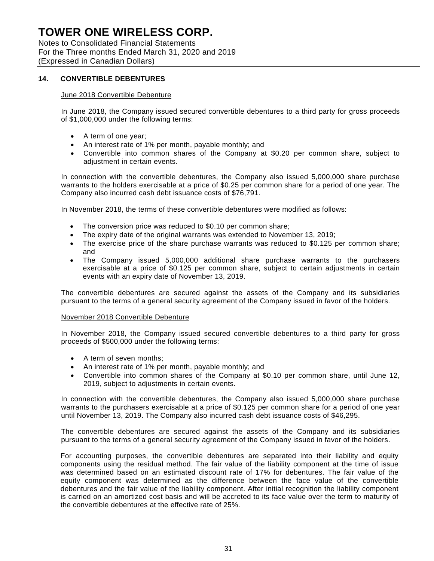Notes to Consolidated Financial Statements For the Three months Ended March 31, 2020 and 2019 (Expressed in Canadian Dollars)

### **14. CONVERTIBLE DEBENTURES**

#### June 2018 Convertible Debenture

In June 2018, the Company issued secured convertible debentures to a third party for gross proceeds of \$1,000,000 under the following terms:

- A term of one year;
- An interest rate of 1% per month, payable monthly; and
- Convertible into common shares of the Company at \$0.20 per common share, subject to adjustment in certain events.

In connection with the convertible debentures, the Company also issued 5,000,000 share purchase warrants to the holders exercisable at a price of \$0.25 per common share for a period of one year. The Company also incurred cash debt issuance costs of \$76,791.

In November 2018, the terms of these convertible debentures were modified as follows:

- The conversion price was reduced to \$0.10 per common share;
- The expiry date of the original warrants was extended to November 13, 2019;
- The exercise price of the share purchase warrants was reduced to \$0.125 per common share; and
- The Company issued 5,000,000 additional share purchase warrants to the purchasers exercisable at a price of \$0.125 per common share, subject to certain adjustments in certain events with an expiry date of November 13, 2019.

The convertible debentures are secured against the assets of the Company and its subsidiaries pursuant to the terms of a general security agreement of the Company issued in favor of the holders.

#### November 2018 Convertible Debenture

In November 2018, the Company issued secured convertible debentures to a third party for gross proceeds of \$500,000 under the following terms:

- A term of seven months;
- An interest rate of 1% per month, payable monthly; and
- Convertible into common shares of the Company at \$0.10 per common share, until June 12, 2019, subject to adjustments in certain events.

In connection with the convertible debentures, the Company also issued 5,000,000 share purchase warrants to the purchasers exercisable at a price of \$0.125 per common share for a period of one year until November 13, 2019. The Company also incurred cash debt issuance costs of \$46,295.

The convertible debentures are secured against the assets of the Company and its subsidiaries pursuant to the terms of a general security agreement of the Company issued in favor of the holders.

For accounting purposes, the convertible debentures are separated into their liability and equity components using the residual method. The fair value of the liability component at the time of issue was determined based on an estimated discount rate of 17% for debentures. The fair value of the equity component was determined as the difference between the face value of the convertible debentures and the fair value of the liability component. After initial recognition the liability component is carried on an amortized cost basis and will be accreted to its face value over the term to maturity of the convertible debentures at the effective rate of 25%.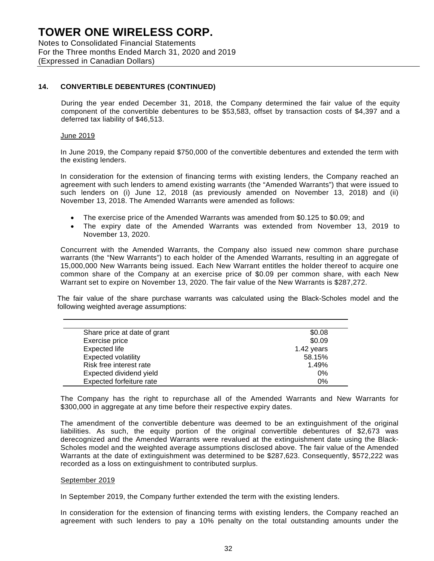### **14. CONVERTIBLE DEBENTURES (CONTINUED)**

During the year ended December 31, 2018, the Company determined the fair value of the equity component of the convertible debentures to be \$53,583, offset by transaction costs of \$4,397 and a deferred tax liability of \$46,513.

#### June 2019

In June 2019, the Company repaid \$750,000 of the convertible debentures and extended the term with the existing lenders.

In consideration for the extension of financing terms with existing lenders, the Company reached an agreement with such lenders to amend existing warrants (the "Amended Warrants") that were issued to such lenders on (i) June 12, 2018 (as previously amended on November 13, 2018) and (ii) November 13, 2018. The Amended Warrants were amended as follows:

- The exercise price of the Amended Warrants was amended from \$0.125 to \$0.09; and
- The expiry date of the Amended Warrants was extended from November 13, 2019 to November 13, 2020.

Concurrent with the Amended Warrants, the Company also issued new common share purchase warrants (the "New Warrants") to each holder of the Amended Warrants, resulting in an aggregate of 15,000,000 New Warrants being issued. Each New Warrant entitles the holder thereof to acquire one common share of the Company at an exercise price of \$0.09 per common share, with each New Warrant set to expire on November 13, 2020. The fair value of the New Warrants is \$287,272.

The fair value of the share purchase warrants was calculated using the Black-Scholes model and the following weighted average assumptions:

| Share price at date of grant | \$0.08     |
|------------------------------|------------|
| Exercise price               | \$0.09     |
| Expected life                | 1.42 years |
| <b>Expected volatility</b>   | 58.15%     |
| Risk free interest rate      | 1.49%      |
| Expected dividend yield      | 0%         |
| Expected forfeiture rate     | 0%         |

The Company has the right to repurchase all of the Amended Warrants and New Warrants for \$300,000 in aggregate at any time before their respective expiry dates.

The amendment of the convertible debenture was deemed to be an extinguishment of the original liabilities. As such, the equity portion of the original convertible debentures of \$2,673 was derecognized and the Amended Warrants were revalued at the extinguishment date using the Black-Scholes model and the weighted average assumptions disclosed above. The fair value of the Amended Warrants at the date of extinguishment was determined to be \$287,623. Consequently, \$572,222 was recorded as a loss on extinguishment to contributed surplus.

#### September 2019

In September 2019, the Company further extended the term with the existing lenders.

In consideration for the extension of financing terms with existing lenders, the Company reached an agreement with such lenders to pay a 10% penalty on the total outstanding amounts under the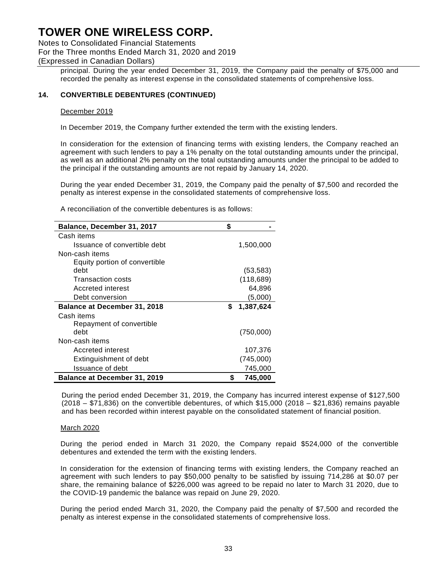Notes to Consolidated Financial Statements For the Three months Ended March 31, 2020 and 2019 (Expressed in Canadian Dollars)

principal. During the year ended December 31, 2019, the Company paid the penalty of \$75,000 and recorded the penalty as interest expense in the consolidated statements of comprehensive loss.

## **14. CONVERTIBLE DEBENTURES (CONTINUED)**

### December 2019

In December 2019, the Company further extended the term with the existing lenders.

In consideration for the extension of financing terms with existing lenders, the Company reached an agreement with such lenders to pay a 1% penalty on the total outstanding amounts under the principal, as well as an additional 2% penalty on the total outstanding amounts under the principal to be added to the principal if the outstanding amounts are not repaid by January 14, 2020.

During the year ended December 31, 2019, the Company paid the penalty of \$7,500 and recorded the penalty as interest expense in the consolidated statements of comprehensive loss.

A reconciliation of the convertible debentures is as follows:

| Balance, December 31, 2017          | \$              |
|-------------------------------------|-----------------|
| Cash items                          |                 |
| Issuance of convertible debt        | 1,500,000       |
| Non-cash items                      |                 |
| Equity portion of convertible       |                 |
| debt                                | (53, 583)       |
| <b>Transaction costs</b>            | (118, 689)      |
| Accreted interest                   | 64,896          |
| Debt conversion                     | (5,000)         |
| <b>Balance at December 31, 2018</b> | \$<br>1,387,624 |
| Cash items                          |                 |
| Repayment of convertible            |                 |
| debt                                | (750,000)       |
| Non-cash items                      |                 |
| Accreted interest                   | 107,376         |
| Extinguishment of debt              | (745,000)       |
| Issuance of debt                    | 745,000         |
| <b>Balance at December 31, 2019</b> | \$<br>745,000   |

During the period ended December 31, 2019, the Company has incurred interest expense of \$127,500  $(2018 - $71,836)$  on the convertible debentures, of which \$15,000 (2018 – \$21,836) remains payable and has been recorded within interest payable on the consolidated statement of financial position.

#### March 2020

During the period ended in March 31 2020, the Company repaid \$524,000 of the convertible debentures and extended the term with the existing lenders.

In consideration for the extension of financing terms with existing lenders, the Company reached an agreement with such lenders to pay \$50,000 penalty to be satisfied by issuing 714,286 at \$0.07 per share, the remaining balance of \$226,000 was agreed to be repaid no later to March 31 2020, due to the COVID-19 pandemic the balance was repaid on June 29, 2020.

During the period ended March 31, 2020, the Company paid the penalty of \$7,500 and recorded the penalty as interest expense in the consolidated statements of comprehensive loss.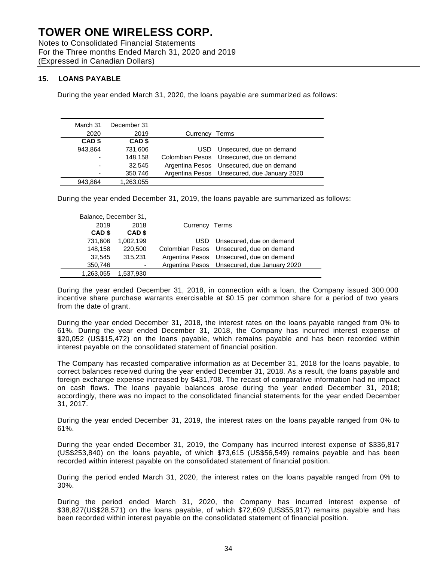Notes to Consolidated Financial Statements For the Three months Ended March 31, 2020 and 2019 (Expressed in Canadian Dollars)

### **15. LOANS PAYABLE**

During the year ended March 31, 2020, the loans payable are summarized as follows:

| March 31 | December 31       |          |                                             |
|----------|-------------------|----------|---------------------------------------------|
| 2020     | 2019              | Currency | Terms                                       |
| CAD \$   | CAD <sub>\$</sub> |          |                                             |
| 943,864  | 731,606           | USD.     | Unsecured, due on demand                    |
|          | 148,158           |          | Colombian Pesos Unsecured, due on demand    |
|          | 32,545            |          | Argentina Pesos Unsecured, due on demand    |
|          | 350,746           |          | Argentina Pesos Unsecured, due January 2020 |
| 943.864  | 1,263,055         |          |                                             |

During the year ended December 31, 2019, the loans payable are summarized as follows:

| Balance, December 31, |                   |          |                                             |
|-----------------------|-------------------|----------|---------------------------------------------|
| 2019                  | 2018              | Currency | Terms                                       |
| CAD <sub>\$</sub>     | CAD <sub>\$</sub> |          |                                             |
| 731,606               | 1,002,199         | USD.     | Unsecured, due on demand                    |
| 148,158               | 220,500           |          | Colombian Pesos Unsecured, due on demand    |
| 32.545                | 315,231           |          | Argentina Pesos Unsecured, due on demand    |
| 350,746               | ۰                 |          | Argentina Pesos Unsecured, due January 2020 |
| 1.263.055             | 1.537.930         |          |                                             |

During the year ended December 31, 2018, in connection with a loan, the Company issued 300,000 incentive share purchase warrants exercisable at \$0.15 per common share for a period of two years from the date of grant.

During the year ended December 31, 2018, the interest rates on the loans payable ranged from 0% to 61%. During the year ended December 31, 2018, the Company has incurred interest expense of \$20,052 (US\$15,472) on the loans payable, which remains payable and has been recorded within interest payable on the consolidated statement of financial position.

The Company has recasted comparative information as at December 31, 2018 for the loans payable, to correct balances received during the year ended December 31, 2018. As a result, the loans payable and foreign exchange expense increased by \$431,708. The recast of comparative information had no impact on cash flows. The loans payable balances arose during the year ended December 31, 2018; accordingly, there was no impact to the consolidated financial statements for the year ended December 31, 2017.

During the year ended December 31, 2019, the interest rates on the loans payable ranged from 0% to 61%.

During the year ended December 31, 2019, the Company has incurred interest expense of \$336,817 (US\$253,840) on the loans payable, of which \$73,615 (US\$56,549) remains payable and has been recorded within interest payable on the consolidated statement of financial position.

During the period ended March 31, 2020, the interest rates on the loans payable ranged from 0% to 30%.

During the period ended March 31, 2020, the Company has incurred interest expense of \$38,827(US\$28,571) on the loans payable, of which \$72,609 (US\$55,917) remains payable and has been recorded within interest payable on the consolidated statement of financial position.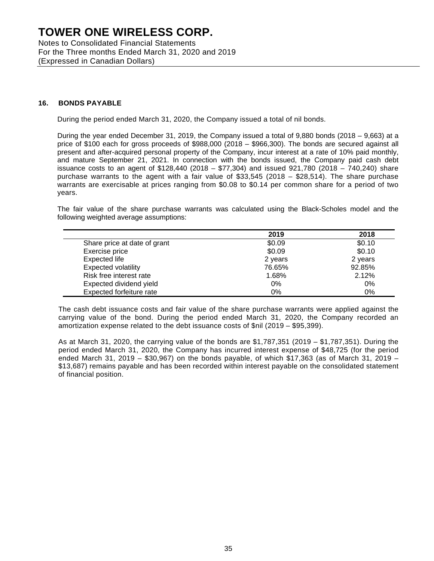Notes to Consolidated Financial Statements For the Three months Ended March 31, 2020 and 2019 (Expressed in Canadian Dollars)

### **16. BONDS PAYABLE**

During the period ended March 31, 2020, the Company issued a total of nil bonds.

During the year ended December 31, 2019, the Company issued a total of 9,880 bonds (2018 – 9,663) at a price of \$100 each for gross proceeds of \$988,000 (2018 – \$966,300). The bonds are secured against all present and after-acquired personal property of the Company, incur interest at a rate of 10% paid monthly, and mature September 21, 2021. In connection with the bonds issued, the Company paid cash debt issuance costs to an agent of \$128,440 (2018 – \$77,304) and issued 921,780 (2018 – 740,240) share purchase warrants to the agent with a fair value of \$33,545 (2018 – \$28,514). The share purchase warrants are exercisable at prices ranging from \$0.08 to \$0.14 per common share for a period of two years.

The fair value of the share purchase warrants was calculated using the Black-Scholes model and the following weighted average assumptions:

|                              | 2019    | 2018    |
|------------------------------|---------|---------|
| Share price at date of grant | \$0.09  | \$0.10  |
| Exercise price               | \$0.09  | \$0.10  |
| Expected life                | 2 years | 2 years |
| <b>Expected volatility</b>   | 76.65%  | 92.85%  |
| Risk free interest rate      | 1.68%   | 2.12%   |
| Expected dividend yield      | 0%      | 0%      |
| Expected forfeiture rate     | 0%      | 0%      |

The cash debt issuance costs and fair value of the share purchase warrants were applied against the carrying value of the bond. During the period ended March 31, 2020, the Company recorded an amortization expense related to the debt issuance costs of \$nil (2019 – \$95,399).

As at March 31, 2020, the carrying value of the bonds are \$1,787,351 (2019 – \$1,787,351). During the period ended March 31, 2020, the Company has incurred interest expense of \$48,725 (for the period ended March 31, 2019 – \$30,967) on the bonds payable, of which  $$17,363$  (as of March 31, 2019 – \$13,687) remains payable and has been recorded within interest payable on the consolidated statement of financial position.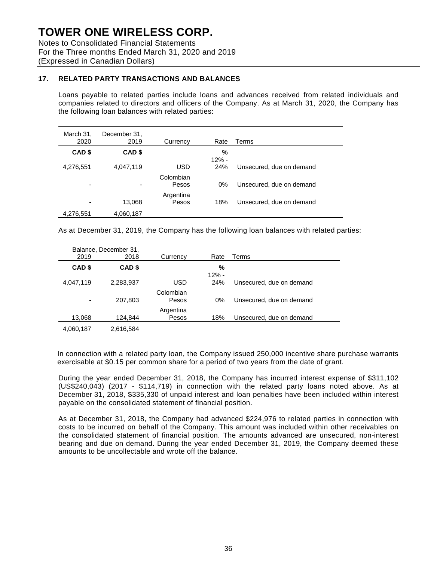Notes to Consolidated Financial Statements For the Three months Ended March 31, 2020 and 2019 (Expressed in Canadian Dollars)

## **17. RELATED PARTY TRANSACTIONS AND BALANCES**

Loans payable to related parties include loans and advances received from related individuals and companies related to directors and officers of the Company. As at March 31, 2020, the Company has the following loan balances with related parties:

| March 31,<br>2020 | December 31,<br>2019 | Currency           | Rate         | Terms                    |
|-------------------|----------------------|--------------------|--------------|--------------------------|
| CAD \$            | CAD <sub>\$</sub>    |                    | %<br>$12% -$ |                          |
| 4,276,551         | 4,047,119            | <b>USD</b>         | 24%          | Unsecured, due on demand |
| ٠                 |                      | Colombian<br>Pesos | $0\%$        | Unsecured, due on demand |
| ۰                 | 13,068               | Argentina<br>Pesos | 18%          | Unsecured, due on demand |
| 4,276,551         | 4,060,187            |                    |              |                          |

As at December 31, 2019, the Company has the following loan balances with related parties:

|                          | Balance, December 31, |                    |              |                          |
|--------------------------|-----------------------|--------------------|--------------|--------------------------|
| 2019                     | 2018                  | Currency           | Rate         | Terms                    |
| CAD <sub>\$</sub>        | CAD <sub>\$</sub>     |                    | %<br>$12% -$ |                          |
| 4,047,119                | 2,283,937             | USD                | 24%          | Unsecured, due on demand |
| $\overline{\phantom{a}}$ | 207,803               | Colombian<br>Pesos | 0%           | Unsecured, due on demand |
| 13,068                   | 124,844               | Argentina<br>Pesos | 18%          | Unsecured, due on demand |
| 4,060,187                | 2,616,584             |                    |              |                          |

In connection with a related party loan, the Company issued 250,000 incentive share purchase warrants exercisable at \$0.15 per common share for a period of two years from the date of grant.

During the year ended December 31, 2018, the Company has incurred interest expense of \$311,102 (US\$240,043) (2017 - \$114,719) in connection with the related party loans noted above. As at December 31, 2018, \$335,330 of unpaid interest and loan penalties have been included within interest payable on the consolidated statement of financial position.

As at December 31, 2018, the Company had advanced \$224,976 to related parties in connection with costs to be incurred on behalf of the Company. This amount was included within other receivables on the consolidated statement of financial position. The amounts advanced are unsecured, non-interest bearing and due on demand. During the year ended December 31, 2019, the Company deemed these amounts to be uncollectable and wrote off the balance.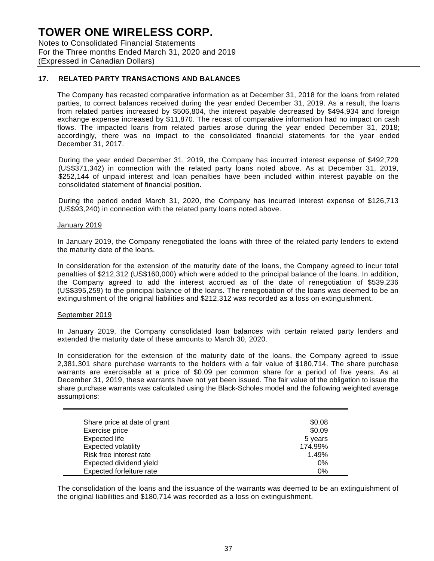Notes to Consolidated Financial Statements For the Three months Ended March 31, 2020 and 2019 (Expressed in Canadian Dollars)

## **17. RELATED PARTY TRANSACTIONS AND BALANCES**

The Company has recasted comparative information as at December 31, 2018 for the loans from related parties, to correct balances received during the year ended December 31, 2019. As a result, the loans from related parties increased by \$506,804, the interest payable decreased by \$494,934 and foreign exchange expense increased by \$11,870. The recast of comparative information had no impact on cash flows. The impacted loans from related parties arose during the year ended December 31, 2018; accordingly, there was no impact to the consolidated financial statements for the year ended December 31, 2017.

During the year ended December 31, 2019, the Company has incurred interest expense of \$492,729 (US\$371,342) in connection with the related party loans noted above. As at December 31, 2019, \$252,144 of unpaid interest and loan penalties have been included within interest payable on the consolidated statement of financial position.

During the period ended March 31, 2020, the Company has incurred interest expense of \$126,713 (US\$93,240) in connection with the related party loans noted above.

#### January 2019

In January 2019, the Company renegotiated the loans with three of the related party lenders to extend the maturity date of the loans.

In consideration for the extension of the maturity date of the loans, the Company agreed to incur total penalties of \$212,312 (US\$160,000) which were added to the principal balance of the loans. In addition, the Company agreed to add the interest accrued as of the date of renegotiation of \$539,236 (US\$395,259) to the principal balance of the loans. The renegotiation of the loans was deemed to be an extinguishment of the original liabilities and \$212,312 was recorded as a loss on extinguishment.

#### September 2019

In January 2019, the Company consolidated loan balances with certain related party lenders and extended the maturity date of these amounts to March 30, 2020.

In consideration for the extension of the maturity date of the loans, the Company agreed to issue 2,381,301 share purchase warrants to the holders with a fair value of \$180,714. The share purchase warrants are exercisable at a price of \$0.09 per common share for a period of five years. As at December 31, 2019, these warrants have not yet been issued. The fair value of the obligation to issue the share purchase warrants was calculated using the Black-Scholes model and the following weighted average assumptions:

| Share price at date of grant | \$0.08  |
|------------------------------|---------|
| Exercise price               | \$0.09  |
| <b>Expected life</b>         | 5 years |
| <b>Expected volatility</b>   | 174.99% |
| Risk free interest rate      | 1.49%   |
| Expected dividend yield      | 0%      |
| Expected forfeiture rate     | 0%      |

The consolidation of the loans and the issuance of the warrants was deemed to be an extinguishment of the original liabilities and \$180,714 was recorded as a loss on extinguishment.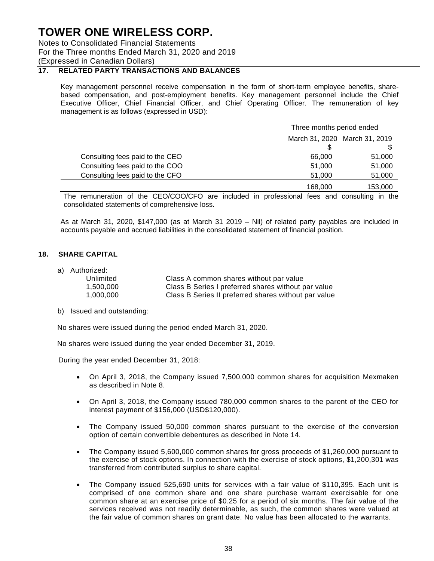Notes to Consolidated Financial Statements

For the Three months Ended March 31, 2020 and 2019

(Expressed in Canadian Dollars)

## **17. RELATED PARTY TRANSACTIONS AND BALANCES**

Key management personnel receive compensation in the form of short-term employee benefits, sharebased compensation, and post-employment benefits. Key management personnel include the Chief Executive Officer, Chief Financial Officer, and Chief Operating Officer. The remuneration of key management is as follows (expressed in USD):

|                                 |         | Three months period ended     |  |  |
|---------------------------------|---------|-------------------------------|--|--|
|                                 |         | March 31, 2020 March 31, 2019 |  |  |
|                                 |         |                               |  |  |
| Consulting fees paid to the CEO | 66,000  | 51,000                        |  |  |
| Consulting fees paid to the COO | 51.000  | 51,000                        |  |  |
| Consulting fees paid to the CFO | 51,000  | 51,000                        |  |  |
|                                 | 168,000 | 153,000                       |  |  |

The remuneration of the CEO/COO/CFO are included in professional fees and consulting in the consolidated statements of comprehensive loss.

As at March 31, 2020, \$147,000 (as at March 31 2019 – Nil) of related party payables are included in accounts payable and accrued liabilities in the consolidated statement of financial position.

### **18. SHARE CAPITAL**

a) Authorized:

| Unlimited | Class A common shares without par value              |
|-----------|------------------------------------------------------|
| 1.500.000 | Class B Series I preferred shares without par value  |
| 1,000,000 | Class B Series II preferred shares without par value |

b) Issued and outstanding:

No shares were issued during the period ended March 31, 2020.

No shares were issued during the year ended December 31, 2019.

During the year ended December 31, 2018:

- On April 3, 2018, the Company issued 7,500,000 common shares for acquisition Mexmaken as described in Note 8.
- On April 3, 2018, the Company issued 780,000 common shares to the parent of the CEO for interest payment of \$156,000 (USD\$120,000).
- The Company issued 50,000 common shares pursuant to the exercise of the conversion option of certain convertible debentures as described in Note 14.
- The Company issued 5,600,000 common shares for gross proceeds of \$1,260,000 pursuant to the exercise of stock options. In connection with the exercise of stock options, \$1,200,301 was transferred from contributed surplus to share capital.
- The Company issued 525,690 units for services with a fair value of \$110,395. Each unit is comprised of one common share and one share purchase warrant exercisable for one common share at an exercise price of \$0.25 for a period of six months. The fair value of the services received was not readily determinable, as such, the common shares were valued at the fair value of common shares on grant date. No value has been allocated to the warrants.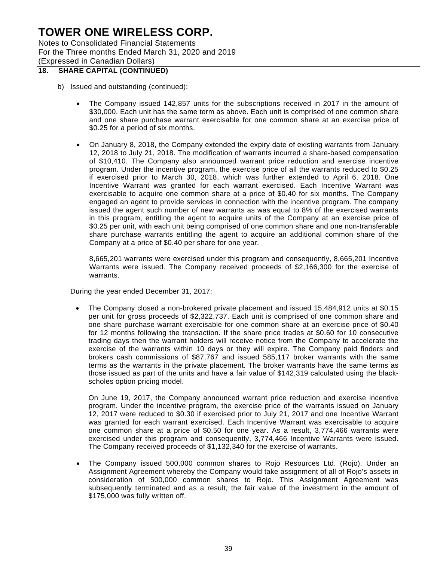Notes to Consolidated Financial Statements For the Three months Ended March 31, 2020 and 2019 (Expressed in Canadian Dollars)

## **18. SHARE CAPITAL (CONTINUED)**

- b) Issued and outstanding (continued):
	- The Company issued 142,857 units for the subscriptions received in 2017 in the amount of \$30,000. Each unit has the same term as above. Each unit is comprised of one common share and one share purchase warrant exercisable for one common share at an exercise price of \$0.25 for a period of six months.
	- On January 8, 2018, the Company extended the expiry date of existing warrants from January 12, 2018 to July 21, 2018. The modification of warrants incurred a share-based compensation of \$10,410. The Company also announced warrant price reduction and exercise incentive program. Under the incentive program, the exercise price of all the warrants reduced to \$0.25 if exercised prior to March 30, 2018, which was further extended to April 6, 2018. One Incentive Warrant was granted for each warrant exercised. Each Incentive Warrant was exercisable to acquire one common share at a price of \$0.40 for six months. The Company engaged an agent to provide services in connection with the incentive program. The company issued the agent such number of new warrants as was equal to 8% of the exercised warrants in this program, entitling the agent to acquire units of the Company at an exercise price of \$0.25 per unit, with each unit being comprised of one common share and one non-transferable share purchase warrants entitling the agent to acquire an additional common share of the Company at a price of \$0.40 per share for one year.

8,665,201 warrants were exercised under this program and consequently, 8,665,201 Incentive Warrants were issued. The Company received proceeds of \$2,166,300 for the exercise of warrants.

During the year ended December 31, 2017:

 The Company closed a non-brokered private placement and issued 15,484,912 units at \$0.15 per unit for gross proceeds of \$2,322,737. Each unit is comprised of one common share and one share purchase warrant exercisable for one common share at an exercise price of \$0.40 for 12 months following the transaction. If the share price trades at \$0.60 for 10 consecutive trading days then the warrant holders will receive notice from the Company to accelerate the exercise of the warrants within 10 days or they will expire. The Company paid finders and brokers cash commissions of \$87,767 and issued 585,117 broker warrants with the same terms as the warrants in the private placement. The broker warrants have the same terms as those issued as part of the units and have a fair value of \$142,319 calculated using the blackscholes option pricing model.

On June 19, 2017, the Company announced warrant price reduction and exercise incentive program. Under the incentive program, the exercise price of the warrants issued on January 12, 2017 were reduced to \$0.30 if exercised prior to July 21, 2017 and one Incentive Warrant was granted for each warrant exercised. Each Incentive Warrant was exercisable to acquire one common share at a price of \$0.50 for one year. As a result, 3,774,466 warrants were exercised under this program and consequently, 3,774,466 Incentive Warrants were issued. The Company received proceeds of \$1,132,340 for the exercise of warrants.

 The Company issued 500,000 common shares to Rojo Resources Ltd. (Rojo). Under an Assignment Agreement whereby the Company would take assignment of all of Rojo's assets in consideration of 500,000 common shares to Rojo. This Assignment Agreement was subsequently terminated and as a result, the fair value of the investment in the amount of \$175,000 was fully written off.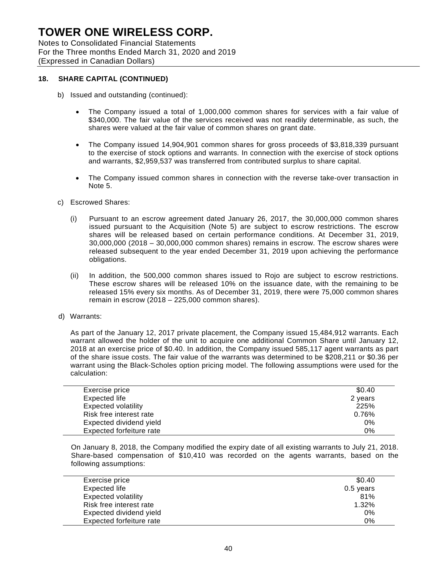Notes to Consolidated Financial Statements For the Three months Ended March 31, 2020 and 2019 (Expressed in Canadian Dollars)

### **18. SHARE CAPITAL (CONTINUED)**

- b) Issued and outstanding (continued):
	- The Company issued a total of 1,000,000 common shares for services with a fair value of \$340,000. The fair value of the services received was not readily determinable, as such, the shares were valued at the fair value of common shares on grant date.
	- The Company issued 14,904,901 common shares for gross proceeds of \$3,818,339 pursuant to the exercise of stock options and warrants. In connection with the exercise of stock options and warrants, \$2,959,537 was transferred from contributed surplus to share capital.
	- The Company issued common shares in connection with the reverse take-over transaction in Note 5.
- c) Escrowed Shares:
	- (i) Pursuant to an escrow agreement dated January 26, 2017, the 30,000,000 common shares issued pursuant to the Acquisition (Note 5) are subject to escrow restrictions. The escrow shares will be released based on certain performance conditions. At December 31, 2019, 30,000,000 (2018 – 30,000,000 common shares) remains in escrow. The escrow shares were released subsequent to the year ended December 31, 2019 upon achieving the performance obligations.
	- (ii) In addition, the 500,000 common shares issued to Rojo are subject to escrow restrictions. These escrow shares will be released 10% on the issuance date, with the remaining to be released 15% every six months. As of December 31, 2019, there were 75,000 common shares remain in escrow (2018 – 225,000 common shares).
- d) Warrants:

As part of the January 12, 2017 private placement, the Company issued 15,484,912 warrants. Each warrant allowed the holder of the unit to acquire one additional Common Share until January 12, 2018 at an exercise price of \$0.40. In addition, the Company issued 585,117 agent warrants as part of the share issue costs. The fair value of the warrants was determined to be \$208,211 or \$0.36 per warrant using the Black-Scholes option pricing model. The following assumptions were used for the calculation:

| Exercise price             | \$0.40  |
|----------------------------|---------|
| Expected life              | 2 years |
| <b>Expected volatility</b> | 225%    |
| Risk free interest rate    | 0.76%   |
| Expected dividend yield    | 0%      |
| Expected forfeiture rate   | 0%      |

On January 8, 2018, the Company modified the expiry date of all existing warrants to July 21, 2018. Share-based compensation of \$10,410 was recorded on the agents warrants, based on the following assumptions:

| Exercise price             | \$0.40      |
|----------------------------|-------------|
| Expected life              | $0.5$ years |
| <b>Expected volatility</b> | 81%         |
| Risk free interest rate    | 1.32%       |
| Expected dividend yield    | 0%          |
| Expected forfeiture rate   | 0%          |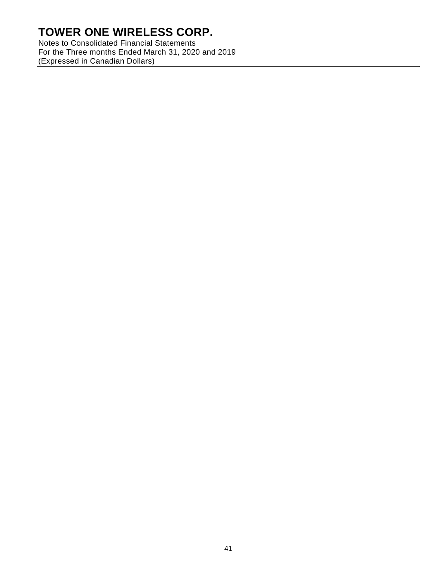Notes to Consolidated Financial Statements For the Three months Ended March 31, 2020 and 2019 (Expressed in Canadian Dollars)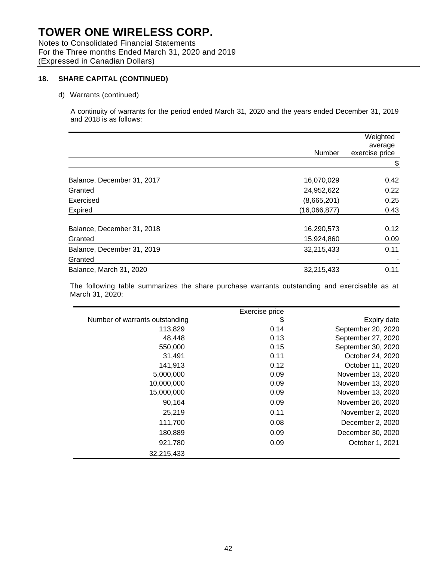Notes to Consolidated Financial Statements For the Three months Ended March 31, 2020 and 2019 (Expressed in Canadian Dollars)

### **18. SHARE CAPITAL (CONTINUED)**

### d) Warrants (continued)

A continuity of warrants for the period ended March 31, 2020 and the years ended December 31, 2019 and 2018 is as follows:

|                            |              | Weighted       |
|----------------------------|--------------|----------------|
|                            |              | average        |
|                            | Number       | exercise price |
|                            |              | \$             |
| Balance, December 31, 2017 | 16,070,029   | 0.42           |
| Granted                    | 24,952,622   | 0.22           |
| Exercised                  | (8,665,201)  | 0.25           |
| <b>Expired</b>             | (16,066,877) | 0.43           |
| Balance, December 31, 2018 | 16,290,573   | 0.12           |
| Granted                    | 15,924,860   | 0.09           |
| Balance, December 31, 2019 | 32,215,433   | 0.11           |
| Granted                    |              |                |
| Balance, March 31, 2020    | 32,215,433   | 0.11           |

The following table summarizes the share purchase warrants outstanding and exercisable as at March 31, 2020:

|                                | Exercise price |                    |
|--------------------------------|----------------|--------------------|
| Number of warrants outstanding | \$             | Expiry date        |
| 113,829                        | 0.14           | September 20, 2020 |
| 48,448                         | 0.13           | September 27, 2020 |
| 550,000                        | 0.15           | September 30, 2020 |
| 31,491                         | 0.11           | October 24, 2020   |
| 141,913                        | 0.12           | October 11, 2020   |
| 5,000,000                      | 0.09           | November 13, 2020  |
| 10,000,000                     | 0.09           | November 13, 2020  |
| 15,000,000                     | 0.09           | November 13, 2020  |
| 90,164                         | 0.09           | November 26, 2020  |
| 25,219                         | 0.11           | November 2, 2020   |
| 111,700                        | 0.08           | December 2, 2020   |
| 180,889                        | 0.09           | December 30, 2020  |
| 921,780                        | 0.09           | October 1, 2021    |
| 32,215,433                     |                |                    |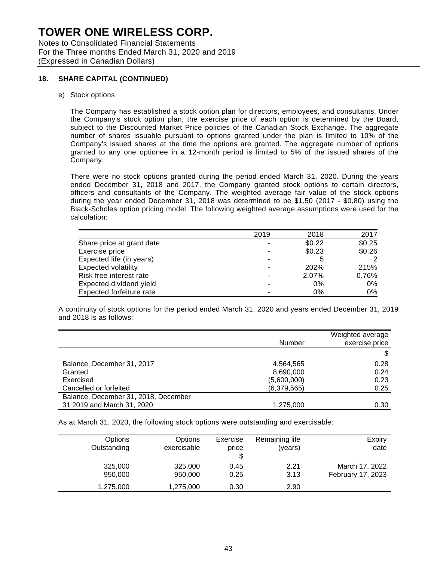Notes to Consolidated Financial Statements For the Three months Ended March 31, 2020 and 2019 (Expressed in Canadian Dollars)

### **18. SHARE CAPITAL (CONTINUED)**

e) Stock options

The Company has established a stock option plan for directors, employees, and consultants. Under the Company's stock option plan, the exercise price of each option is determined by the Board, subject to the Discounted Market Price policies of the Canadian Stock Exchange. The aggregate number of shares issuable pursuant to options granted under the plan is limited to 10% of the Company's issued shares at the time the options are granted. The aggregate number of options granted to any one optionee in a 12-month period is limited to 5% of the issued shares of the Company.

There were no stock options granted during the period ended March 31, 2020. During the years ended December 31, 2018 and 2017, the Company granted stock options to certain directors, officers and consultants of the Company. The weighted average fair value of the stock options during the year ended December 31, 2018 was determined to be \$1.50 (2017 - \$0.80) using the Black-Scholes option pricing model. The following weighted average assumptions were used for the calculation:

|                            | 2019 | 2018   | 2017   |
|----------------------------|------|--------|--------|
| Share price at grant date  |      | \$0.22 | \$0.25 |
| Exercise price             |      | \$0.23 | \$0.26 |
| Expected life (in years)   |      | 5      | 2      |
| <b>Expected volatility</b> |      | 202%   | 215%   |
| Risk free interest rate    | -    | 2.07%  | 0.76%  |
| Expected dividend yield    |      | 0%     | $0\%$  |
| Expected forfeiture rate   | -    | 0%     | 0%     |

A continuity of stock options for the period ended March 31, 2020 and years ended December 31, 2019 and 2018 is as follows:

|                                      | Number      | Weighted average<br>exercise price |
|--------------------------------------|-------------|------------------------------------|
|                                      |             | \$                                 |
| Balance, December 31, 2017           | 4,564,565   | 0.28                               |
| Granted                              | 8,690,000   | 0.24                               |
| Exercised                            | (5,600,000) | 0.23                               |
| Cancelled or forfeited               | (6,379,565) | 0.25                               |
| Balance, December 31, 2018, December |             |                                    |
| 31 2019 and March 31, 2020           | 1,275,000   | 0.30                               |

As at March 31, 2020, the following stock options were outstanding and exercisable:

| <b>Options</b><br>Outstanding | Options<br>exercisable | Exercise<br>price | Remaining life<br>(vears) | Expiry<br>date    |
|-------------------------------|------------------------|-------------------|---------------------------|-------------------|
|                               |                        | J                 |                           |                   |
| 325,000                       | 325,000                | 0.45              | 2.21                      | March 17, 2022    |
| 950,000                       | 950,000                | 0.25              | 3.13                      | February 17, 2023 |
| 1,275,000                     | 1,275,000              | 0.30              | 2.90                      |                   |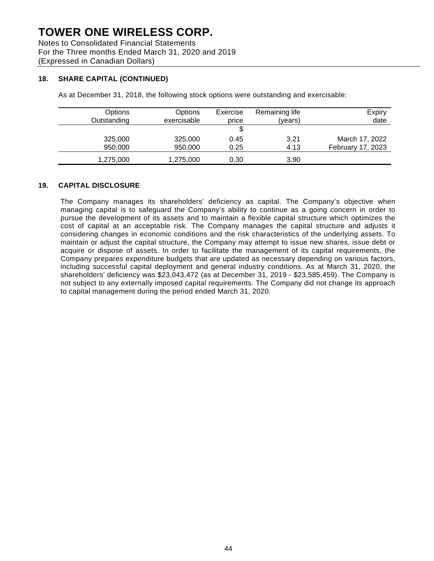Notes to Consolidated Financial Statements For the Three months Ended March 31, 2020 and 2019 (Expressed in Canadian Dollars)

## **18. SHARE CAPITAL (CONTINUED)**

As at December 31, 2018, the following stock options were outstanding and exercisable:

| Options     | Options     | Exercise | Remaining life | Expiry            |
|-------------|-------------|----------|----------------|-------------------|
| Outstanding | exercisable | price    | (vears)        | date              |
|             |             |          |                |                   |
| 325,000     | 325,000     | 0.45     | 3.21           | March 17, 2022    |
| 950,000     | 950,000     | 0.25     | 4.13           | February 17, 2023 |
| 1,275,000   | 1,275,000   | 0.30     | 3.90           |                   |

#### **19. CAPITAL DISCLOSURE**

The Company manages its shareholders' deficiency as capital. The Company's objective when managing capital is to safeguard the Company's ability to continue as a going concern in order to pursue the development of its assets and to maintain a flexible capital structure which optimizes the cost of capital at an acceptable risk. The Company manages the capital structure and adjusts it considering changes in economic conditions and the risk characteristics of the underlying assets. To maintain or adjust the capital structure, the Company may attempt to issue new shares, issue debt or acquire or dispose of assets. In order to facilitate the management of its capital requirements, the Company prepares expenditure budgets that are updated as necessary depending on various factors, including successful capital deployment and general industry conditions. As at March 31, 2020, the shareholders' deficiency was \$23,043,472 (as at December 31, 2019 - \$23,585,459). The Company is not subject to any externally imposed capital requirements. The Company did not change its approach to capital management during the period ended March 31, 2020.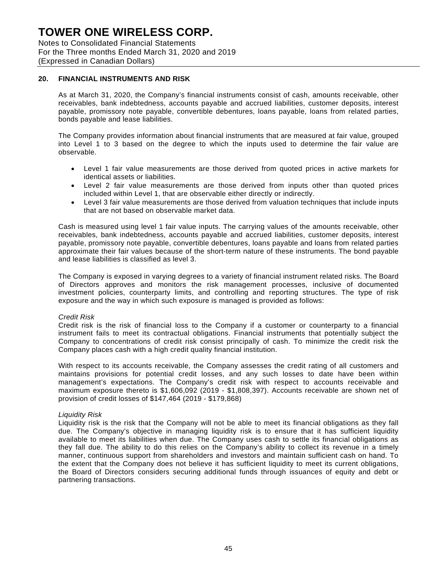Notes to Consolidated Financial Statements For the Three months Ended March 31, 2020 and 2019 (Expressed in Canadian Dollars)

### **20. FINANCIAL INSTRUMENTS AND RISK**

As at March 31, 2020, the Company's financial instruments consist of cash, amounts receivable, other receivables, bank indebtedness, accounts payable and accrued liabilities, customer deposits, interest payable, promissory note payable, convertible debentures, loans payable, loans from related parties, bonds payable and lease liabilities.

The Company provides information about financial instruments that are measured at fair value, grouped into Level 1 to 3 based on the degree to which the inputs used to determine the fair value are observable.

- Level 1 fair value measurements are those derived from quoted prices in active markets for identical assets or liabilities.
- Level 2 fair value measurements are those derived from inputs other than quoted prices included within Level 1, that are observable either directly or indirectly.
- Level 3 fair value measurements are those derived from valuation techniques that include inputs that are not based on observable market data.

Cash is measured using level 1 fair value inputs. The carrying values of the amounts receivable, other receivables, bank indebtedness, accounts payable and accrued liabilities, customer deposits, interest payable, promissory note payable, convertible debentures, loans payable and loans from related parties approximate their fair values because of the short-term nature of these instruments. The bond payable and lease liabilities is classified as level 3.

The Company is exposed in varying degrees to a variety of financial instrument related risks. The Board of Directors approves and monitors the risk management processes, inclusive of documented investment policies, counterparty limits, and controlling and reporting structures. The type of risk exposure and the way in which such exposure is managed is provided as follows:

#### *Credit Risk*

Credit risk is the risk of financial loss to the Company if a customer or counterparty to a financial instrument fails to meet its contractual obligations. Financial instruments that potentially subject the Company to concentrations of credit risk consist principally of cash. To minimize the credit risk the Company places cash with a high credit quality financial institution.

With respect to its accounts receivable, the Company assesses the credit rating of all customers and maintains provisions for potential credit losses, and any such losses to date have been within management's expectations. The Company's credit risk with respect to accounts receivable and maximum exposure thereto is \$1,606,092 (2019 - \$1,808,397). Accounts receivable are shown net of provision of credit losses of \$147,464 (2019 - \$179,868)

#### *Liquidity Risk*

Liquidity risk is the risk that the Company will not be able to meet its financial obligations as they fall due. The Company's objective in managing liquidity risk is to ensure that it has sufficient liquidity available to meet its liabilities when due. The Company uses cash to settle its financial obligations as they fall due. The ability to do this relies on the Company's ability to collect its revenue in a timely manner, continuous support from shareholders and investors and maintain sufficient cash on hand. To the extent that the Company does not believe it has sufficient liquidity to meet its current obligations, the Board of Directors considers securing additional funds through issuances of equity and debt or partnering transactions.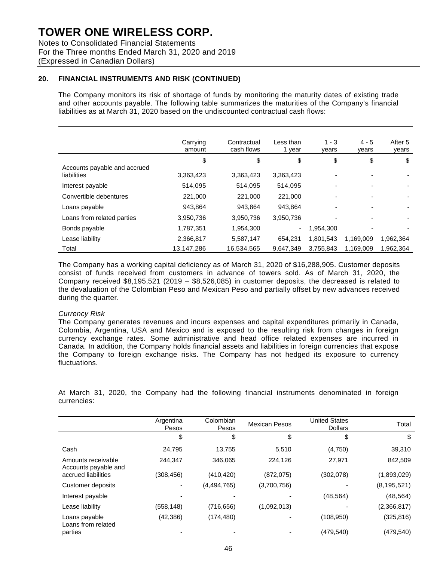Notes to Consolidated Financial Statements For the Three months Ended March 31, 2020 and 2019 (Expressed in Canadian Dollars)

## **20. FINANCIAL INSTRUMENTS AND RISK (CONTINUED)**

The Company monitors its risk of shortage of funds by monitoring the maturity dates of existing trade and other accounts payable. The following table summarizes the maturities of the Company's financial liabilities as at March 31, 2020 based on the undiscounted contractual cash flows:

|                              | Carrying<br>amount | Contractual<br>cash flows | Less than<br>vear | $1 - 3$<br>vears         | $4 - 5$<br>vears | After 5<br>years |
|------------------------------|--------------------|---------------------------|-------------------|--------------------------|------------------|------------------|
|                              | \$                 | \$                        | \$                | \$                       | \$               | \$               |
| Accounts payable and accrued |                    |                           |                   |                          |                  |                  |
| liabilities                  | 3,363,423          | 3,363,423                 | 3,363,423         | $\overline{\phantom{a}}$ |                  |                  |
| Interest payable             | 514,095            | 514,095                   | 514,095           |                          |                  |                  |
| Convertible debentures       | 221,000            | 221,000                   | 221,000           |                          |                  |                  |
| Loans payable                | 943.864            | 943.864                   | 943.864           |                          |                  |                  |
| Loans from related parties   | 3,950,736          | 3,950,736                 | 3,950,736         |                          |                  |                  |
| Bonds payable                | 1,787,351          | 1,954,300                 | ٠                 | 1,954,300                |                  |                  |
| Lease liabilitv              | 2,366,817          | 5,587,147                 | 654.231           | 1,801,543                | 1,169,009        | 1,962,364        |
| Total                        | 13.147.286         | 16.534.565                | 9.647.349         | 3.755.843                | 1.169.009        | 1.962.364        |

The Company has a working capital deficiency as of March 31, 2020 of \$16,288,905. Customer deposits consist of funds received from customers in advance of towers sold. As of March 31, 2020, the Company received \$8,195,521 (2019 – \$8,526,085) in customer deposits, the decreased is related to the devaluation of the Colombian Peso and Mexican Peso and partially offset by new advances received during the quarter.

#### *Currency Risk*

The Company generates revenues and incurs expenses and capital expenditures primarily in Canada, Colombia, Argentina, USA and Mexico and is exposed to the resulting risk from changes in foreign currency exchange rates. Some administrative and head office related expenses are incurred in Canada. In addition, the Company holds financial assets and liabilities in foreign currencies that expose the Company to foreign exchange risks. The Company has not hedged its exposure to currency fluctuations.

At March 31, 2020, the Company had the following financial instruments denominated in foreign currencies:

|                                            | Argentina<br>Pesos | Colombian<br>Pesos | <b>Mexican Pesos</b> | <b>United States</b><br><b>Dollars</b> | Total         |
|--------------------------------------------|--------------------|--------------------|----------------------|----------------------------------------|---------------|
|                                            | \$                 | \$                 | \$                   | \$                                     | \$            |
| Cash                                       | 24,795             | 13.755             | 5,510                | (4,750)                                | 39,310        |
| Amounts receivable<br>Accounts payable and | 244.347            | 346.065            | 224,126              | 27.971                                 | 842,509       |
| accrued liabilities                        | (308, 456)         | (410, 420)         | (872, 075)           | (302,078)                              | (1,893,029)   |
| Customer deposits                          |                    | (4, 494, 765)      | (3,700,756)          |                                        | (8, 195, 521) |
| Interest payable                           |                    |                    |                      | (48, 564)                              | (48, 564)     |
| Lease liability                            | (558, 148)         | (716, 656)         | (1,092,013)          |                                        | (2,366,817)   |
| Loans payable<br>Loans from related        | (42, 386)          | (174, 480)         |                      | (108, 950)                             | (325, 816)    |
| parties                                    |                    |                    |                      | (479, 540)                             | (479, 540)    |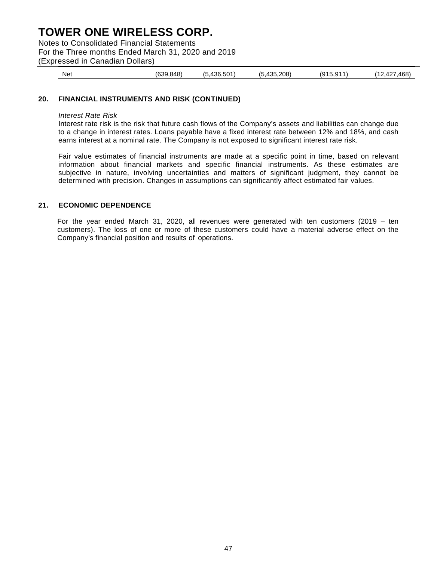Notes to Consolidated Financial Statements For the Three months Ended March 31, 2020 and 2019 (Expressed in Canadian Dollars)

| Net | (639.848) | .436.501<br>. .<br>w. | 13F<br>(35.208) | ິດ11<br>7015<br>. <del>.</del><br>v | .468<br>.127<br>.<br>. <sup>.</sup><br><u>тс</u> |
|-----|-----------|-----------------------|-----------------|-------------------------------------|--------------------------------------------------|
|-----|-----------|-----------------------|-----------------|-------------------------------------|--------------------------------------------------|

### **20. FINANCIAL INSTRUMENTS AND RISK (CONTINUED)**

#### *Interest Rate Risk*

Interest rate risk is the risk that future cash flows of the Company's assets and liabilities can change due to a change in interest rates. Loans payable have a fixed interest rate between 12% and 18%, and cash earns interest at a nominal rate. The Company is not exposed to significant interest rate risk.

Fair value estimates of financial instruments are made at a specific point in time, based on relevant information about financial markets and specific financial instruments. As these estimates are subjective in nature, involving uncertainties and matters of significant judgment, they cannot be determined with precision. Changes in assumptions can significantly affect estimated fair values.

### **21. ECONOMIC DEPENDENCE**

For the year ended March 31, 2020, all revenues were generated with ten customers (2019 – ten customers). The loss of one or more of these customers could have a material adverse effect on the Company's financial position and results of operations.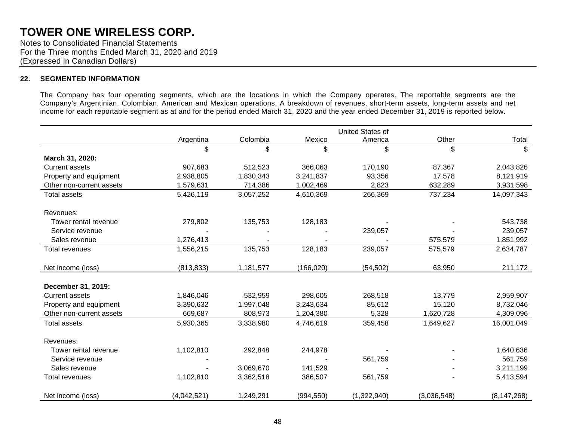Notes to Consolidated Financial Statements For the Three months Ended March 31, 2020 and 2019 (Expressed in Canadian Dollars)

### **22. SEGMENTED INFORMATION**

The Company has four operating segments, which are the locations in which the Company operates. The reportable segments are the Company's Argentinian, Colombian, American and Mexican operations. A breakdown of revenues, short-term assets, long-term assets and net income for each reportable segment as at and for the period ended March 31, 2020 and the year ended December 31, 2019 is reported below.

|                          |             |           |            | <b>United States of</b> |             |               |
|--------------------------|-------------|-----------|------------|-------------------------|-------------|---------------|
|                          | Argentina   | Colombia  | Mexico     | America                 | Other       | Total         |
|                          | \$          | \$        | \$         | \$                      | \$          | \$            |
| March 31, 2020:          |             |           |            |                         |             |               |
| <b>Current assets</b>    | 907,683     | 512,523   | 366,063    | 170,190                 | 87,367      | 2,043,826     |
| Property and equipment   | 2,938,805   | 1,830,343 | 3,241,837  | 93,356                  | 17,578      | 8,121,919     |
| Other non-current assets | 1,579,631   | 714,386   | 1,002,469  | 2,823                   | 632,289     | 3,931,598     |
| <b>Total assets</b>      | 5,426,119   | 3,057,252 | 4,610,369  | 266,369                 | 737,234     | 14,097,343    |
| Revenues:                |             |           |            |                         |             |               |
| Tower rental revenue     | 279,802     | 135,753   | 128,183    |                         |             | 543,738       |
| Service revenue          |             |           |            | 239,057                 |             | 239,057       |
| Sales revenue            | 1,276,413   |           |            |                         | 575,579     | 1,851,992     |
| <b>Total revenues</b>    | 1,556,215   | 135,753   | 128,183    | 239,057                 | 575,579     | 2,634,787     |
| Net income (loss)        | (813, 833)  | 1,181,577 | (166, 020) | (54, 502)               | 63,950      | 211,172       |
| December 31, 2019:       |             |           |            |                         |             |               |
| <b>Current assets</b>    | 1,846,046   | 532,959   | 298,605    | 268,518                 | 13,779      | 2,959,907     |
| Property and equipment   | 3,390,632   | 1,997,048 | 3,243,634  | 85,612                  | 15,120      | 8,732,046     |
| Other non-current assets | 669,687     | 808,973   | 1,204,380  | 5,328                   | 1,620,728   | 4,309,096     |
| <b>Total assets</b>      | 5,930,365   | 3,338,980 | 4,746,619  | 359,458                 | 1,649,627   | 16,001,049    |
| Revenues:                |             |           |            |                         |             |               |
| Tower rental revenue     | 1,102,810   | 292,848   | 244,978    |                         |             | 1,640,636     |
| Service revenue          |             |           |            | 561,759                 |             | 561,759       |
| Sales revenue            |             | 3,069,670 | 141,529    |                         |             | 3,211,199     |
| <b>Total revenues</b>    | 1,102,810   | 3,362,518 | 386,507    | 561,759                 |             | 5,413,594     |
| Net income (loss)        | (4,042,521) | 1,249,291 | (994, 550) | (1,322,940)             | (3,036,548) | (8, 147, 268) |